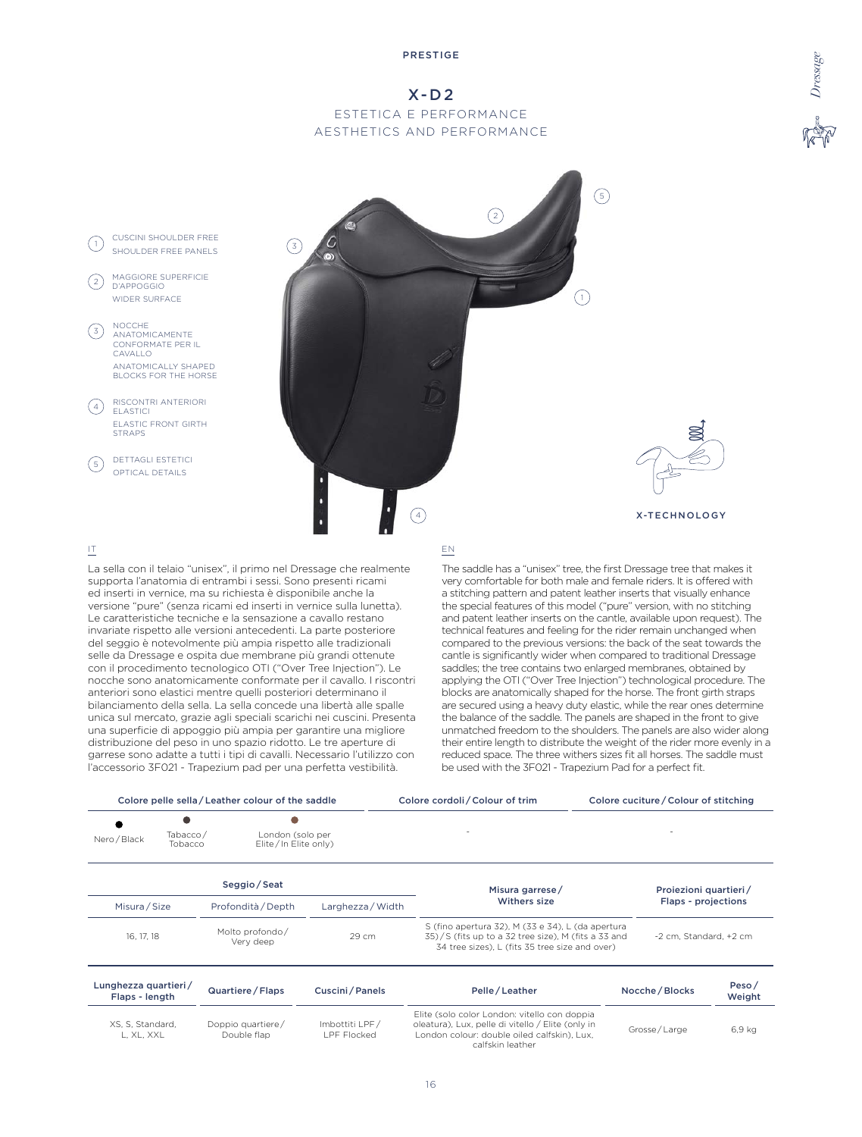# X-D2 ESTETICA E PERFORMANCE AESTHETICS AND PERFORMANCE



La sella con il telaio "unisex", il primo nel Dressage che realmente supporta l'anatomia di entrambi i sessi. Sono presenti ricami ed inserti in vernice, ma su richiesta è disponibile anche la versione "pure" (senza ricami ed inserti in vernice sulla lunetta). Le caratteristiche tecniche e la sensazione a cavallo restano invariate rispetto alle versioni antecedenti. La parte posteriore del seggio è notevolmente più ampia rispetto alle tradizionali selle da Dressage e ospita due membrane più grandi ottenute con il procedimento tecnologico OTI ("Over Tree Injection"). Le nocche sono anatomicamente conformate per il cavallo. I riscontri anteriori sono elastici mentre quelli posteriori determinano il bilanciamento della sella. La sella concede una libertà alle spalle unica sul mercato, grazie agli speciali scarichi nei cuscini. Presenta una superficie di appoggio più ampia per garantire una migliore distribuzione del peso in uno spazio ridotto. Le tre aperture di garrese sono adatte a tutti i tipi di cavalli. Necessario l'utilizzo con l'accessorio 3F021 - Trapezium pad per una perfetta vestibilità.

The saddle has a "unisex" tree, the first Dressage tree that makes it very comfortable for both male and female riders. It is offered with a stitching pattern and patent leather inserts that visually enhance the special features of this model ("pure" version, with no stitching and patent leather inserts on the cantle, available upon request). The technical features and feeling for the rider remain unchanged when compared to the previous versions: the back of the seat towards the cantle is significantly wider when compared to traditional Dressage saddles; the tree contains two enlarged membranes, obtained by applying the OTI ("Over Tree Injection") technological procedure. The blocks are anatomically shaped for the horse. The front girth straps are secured using a heavy duty elastic, while the rear ones determine the balance of the saddle. The panels are shaped in the front to give unmatched freedom to the shoulders. The panels are also wider along their entire length to distribute the weight of the rider more evenly in a reduced space. The three withers sizes fit all horses. The saddle must be used with the 3F021 - Trapezium Pad for a perfect fit.

|                                        |                                       | Colore pelle sella / Leather colour of the saddle |                                                                                                                                                            | Colore cordoli / Colour of trim                                                                                                                  | Colore cuciture / Colour of stitching |                    |
|----------------------------------------|---------------------------------------|---------------------------------------------------|------------------------------------------------------------------------------------------------------------------------------------------------------------|--------------------------------------------------------------------------------------------------------------------------------------------------|---------------------------------------|--------------------|
| Nero / Black                           | Tabacco/<br>Tobacco                   | London (solo per<br>Elite/In Elite only)          |                                                                                                                                                            |                                                                                                                                                  |                                       |                    |
|                                        |                                       | Seggio / Seat                                     |                                                                                                                                                            | Misura garrese/                                                                                                                                  | Proiezioni quartieri/                 |                    |
| Misura/Size<br>Profondità / Depth      |                                       | Larghezza / Width                                 | Withers size                                                                                                                                               | Flaps - projections                                                                                                                              |                                       |                    |
| 16, 17, 18                             | Molto profondo/<br>29 cm<br>Very deep |                                                   | S (fino apertura 32), M (33 e 34), L (da apertura<br>35)/S (fits up to a 32 tree size), M (fits a 33 and<br>34 tree sizes), L (fits 35 tree size and over) | -2 cm. Standard, +2 cm                                                                                                                           |                                       |                    |
| Lunghezza quartieri/<br>Flaps - length |                                       | Quartiere / Flaps                                 | Cuscini/Panels                                                                                                                                             | Pelle/Leather                                                                                                                                    | Nocche / Blocks                       | Peso $/$<br>Weight |
| XS. S. Standard.<br>L, XL, XXL         |                                       | Doppio quartiere/<br>Double flap                  | Imbottiti LPF/<br>LPF Flocked                                                                                                                              | Elite (solo color London: vitello con doppia<br>oleatura), Lux, pelle di vitello / Elite (only in<br>London colour: double oiled calfskin), Lux, | Grosse/Large                          | 6.9 kg             |

calfskin leather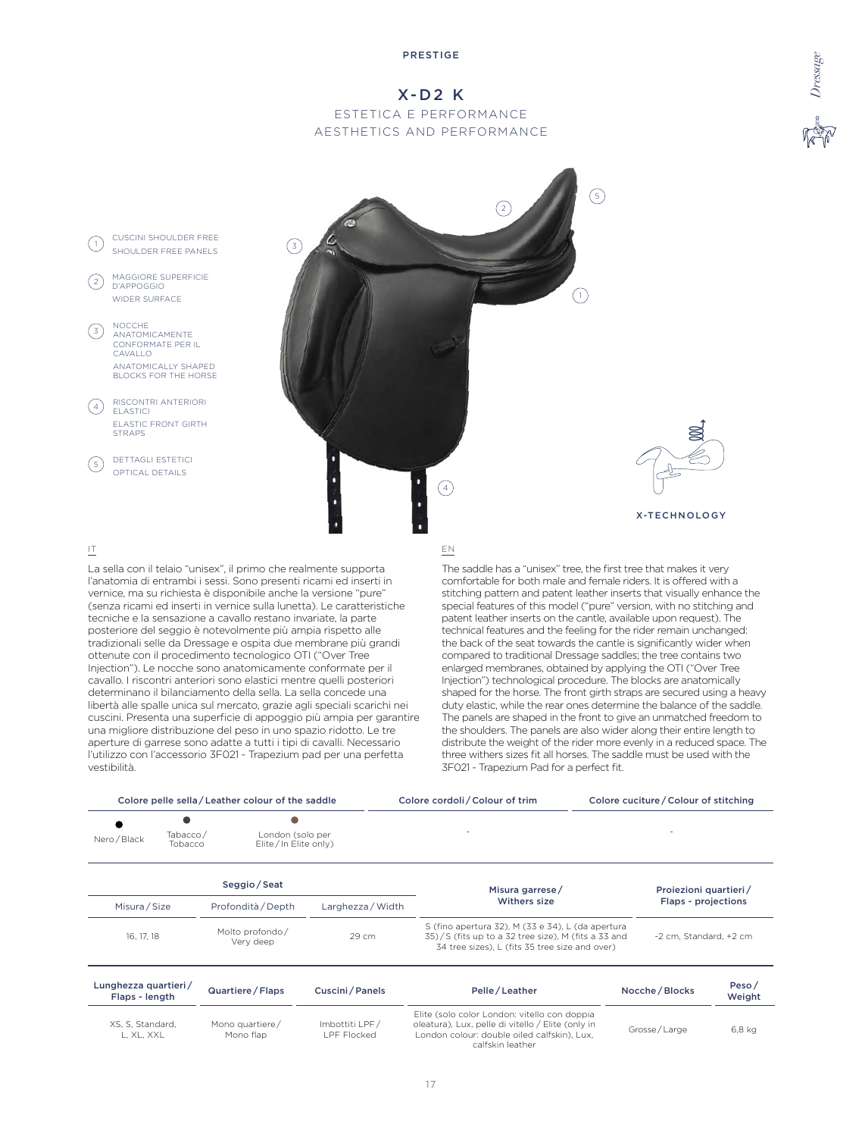# X-D2 K ESTETICA E PERFORMANCE AESTHETICS AND PERFORMANCE



# IT

 $\left(3\right)$ 

 $(4)$ 

 $(5)$ 

 $\left( 2\right)$ 

La sella con il telaio "unisex", il primo che realmente supporta l'anatomia di entrambi i sessi. Sono presenti ricami ed inserti in vernice, ma su richiesta è disponibile anche la versione "pure" (senza ricami ed inserti in vernice sulla lunetta). Le caratteristiche tecniche e la sensazione a cavallo restano invariate, la parte posteriore del seggio è notevolmente più ampia rispetto alle tradizionali selle da Dressage e ospita due membrane più grandi ottenute con il procedimento tecnologico OTI ("Over Tree Injection"). Le nocche sono anatomicamente conformate per il cavallo. I riscontri anteriori sono elastici mentre quelli posteriori determinano il bilanciamento della sella. La sella concede una libertà alle spalle unica sul mercato, grazie agli speciali scarichi nei cuscini. Presenta una superficie di appoggio più ampia per garantire una migliore distribuzione del peso in uno spazio ridotto. Le tre aperture di garrese sono adatte a tutti i tipi di cavalli. Necessario l'utilizzo con l'accessorio 3F021 - Trapezium pad per una perfetta vestibilità.

### EN

The saddle has a "unisex" tree, the first tree that makes it very comfortable for both male and female riders. It is offered with a stitching pattern and patent leather inserts that visually enhance the special features of this model ("pure" version, with no stitching and patent leather inserts on the cantle, available upon request). The technical features and the feeling for the rider remain unchanged: the back of the seat towards the cantle is significantly wider when compared to traditional Dressage saddles; the tree contains two enlarged membranes, obtained by applying the OTI ("Over Tree Injection") technological procedure. The blocks are anatomically shaped for the horse. The front girth straps are secured using a heavy duty elastic, while the rear ones determine the balance of the saddle. The panels are shaped in the front to give an unmatched freedom to the shoulders. The panels are also wider along their entire length to distribute the weight of the rider more evenly in a reduced space. The three withers sizes fit all horses. The saddle must be used with the 3F021 - Trapezium Pad for a perfect fit.

|                                        |                     | Colore pelle sella / Leather colour of the saddle |                               | Colore cordoli / Colour of trim                                                                                                                                      |                     | Colore cuciture / Colour of stitching |                        |  |
|----------------------------------------|---------------------|---------------------------------------------------|-------------------------------|----------------------------------------------------------------------------------------------------------------------------------------------------------------------|---------------------|---------------------------------------|------------------------|--|
| Nero / Black                           | Tabacco/<br>Tobacco | London (solo per<br>$E$ lite / In Elite only)     |                               |                                                                                                                                                                      |                     |                                       |                        |  |
|                                        |                     | Seggio/Seat                                       |                               | Misura garrese/                                                                                                                                                      |                     | Proiezioni quartieri/                 |                        |  |
| Misura / Size<br>Profondità / Depth    |                     | Larghezza / Width                                 | Withers size                  |                                                                                                                                                                      | Flaps - projections |                                       |                        |  |
| 16, 17, 18                             |                     | Molto profondo/<br>Very deep                      | 29 cm                         | S (fino apertura 32), M (33 e 34), L (da apertura<br>35)/S (fits up to a 32 tree size), M (fits a 33 and<br>34 tree sizes), L (fits 35 tree size and over)           |                     |                                       | -2 cm. Standard, +2 cm |  |
| Lunghezza quartieri/<br>Flaps - length |                     | Quartiere / Flaps                                 | Cuscini/Panels                | Pelle / Leather                                                                                                                                                      |                     | Nocche / Blocks                       | Peso/<br>Weight        |  |
| XS, S, Standard,<br>L, XL, XXL         |                     | Mono quartiere/<br>Mono flap                      | Imbottiti LPF/<br>LPF Flocked | Elite (solo color London: vitello con doppia<br>oleatura), Lux, pelle di vitello / Elite (only in<br>London colour: double oiled calfskin), Lux,<br>calfskin leather |                     | Grosse/Large                          | 6,8 kg                 |  |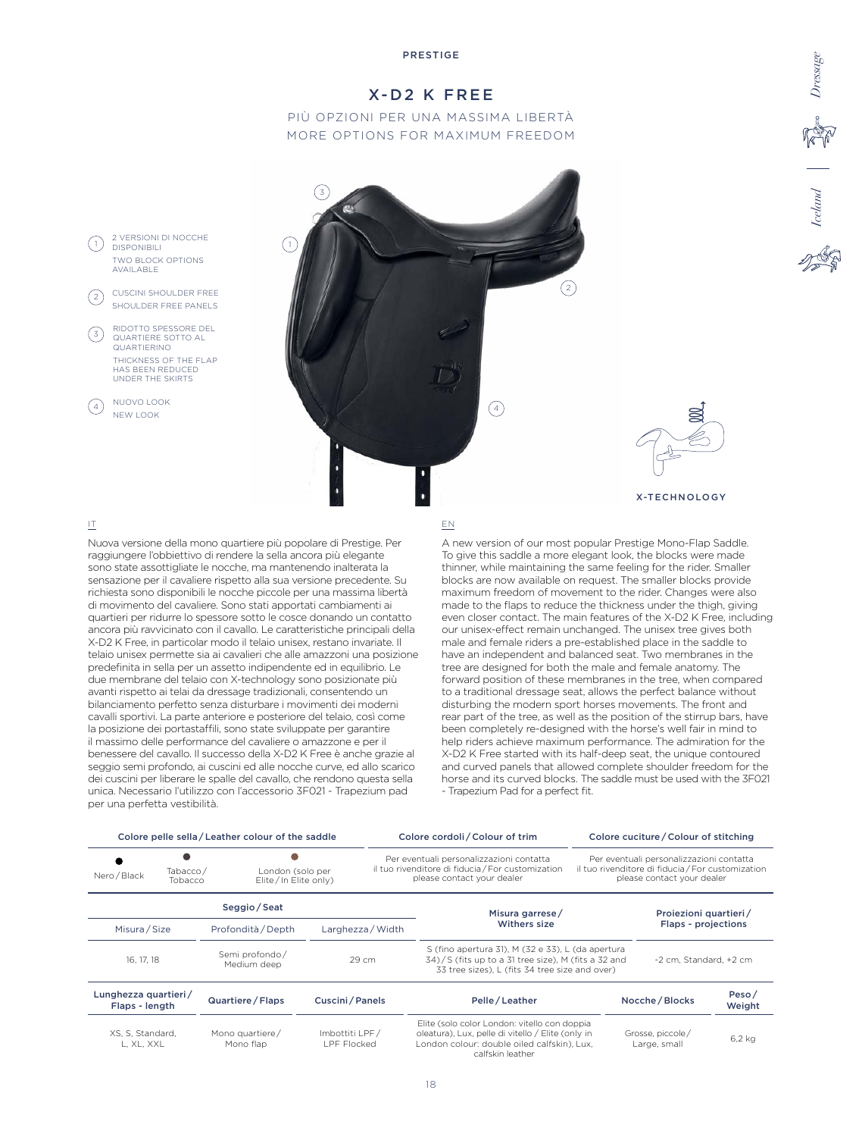# X-D2 K FREE

# PIÙ OPZIONI PER UNA MASSIMA LIBERTÀ MORE OPTIONS FOR MAXIMUM FREEDOM



# IT

 $(1)$ 

 $(3)$ 

4

 $\left( 2\right)$ 

Nuova versione della mono quartiere più popolare di Prestige. Per raggiungere l'obbiettivo di rendere la sella ancora più elegante sono state assottigliate le nocche, ma mantenendo inalterata la sensazione per il cavaliere rispetto alla sua versione precedente. Su richiesta sono disponibili le nocche piccole per una massima libertà di movimento del cavaliere. Sono stati apportati cambiamenti ai quartieri per ridurre lo spessore sotto le cosce donando un contatto ancora più ravvicinato con il cavallo. Le caratteristiche principali della X-D2 K Free, in particolar modo il telaio unisex, restano invariate. Il telaio unisex permette sia ai cavalieri che alle amazzoni una posizione predefinita in sella per un assetto indipendente ed in equilibrio. Le due membrane del telaio con X-technology sono posizionate più avanti rispetto ai telai da dressage tradizionali, consentendo un bilanciamento perfetto senza disturbare i movimenti dei moderni cavalli sportivi. La parte anteriore e posteriore del telaio, così come la posizione dei portastaffili, sono state sviluppate per garantire il massimo delle performance del cavaliere o amazzone e per il benessere del cavallo. Il successo della X-D2 K Free è anche grazie al seggio semi profondo, ai cuscini ed alle nocche curve, ed allo scarico dei cuscini per liberare le spalle del cavallo, che rendono questa sella unica. Necessario l'utilizzo con l'accessorio 3F021 - Trapezium pad per una perfetta vestibilità.

#### EN

A new version of our most popular Prestige Mono-Flap Saddle. To give this saddle a more elegant look, the blocks were made thinner, while maintaining the same feeling for the rider. Smaller blocks are now available on request. The smaller blocks provide maximum freedom of movement to the rider. Changes were also made to the flaps to reduce the thickness under the thigh, giving even closer contact. The main features of the X-D2 K Free, including our unisex-effect remain unchanged. The unisex tree gives both male and female riders a pre-established place in the saddle to have an independent and balanced seat. Two membranes in the tree are designed for both the male and female anatomy. The forward position of these membranes in the tree, when compared to a traditional dressage seat, allows the perfect balance without disturbing the modern sport horses movements. The front and rear part of the tree, as well as the position of the stirrup bars, have been completely re-designed with the horse's well fair in mind to help riders achieve maximum performance. The admiration for the X-D2 K Free started with its half-deep seat, the unique contoured and curved panels that allowed complete shoulder freedom for the horse and its curved blocks. The saddle must be used with the 3F021 - Trapezium Pad for a perfect fit.

*Iceland Dressage*

Saland

|                                        |                                                                 | Colore pelle sella / Leather colour of the saddle |                               | Colore cordoli / Colour of trim                                                                                             |                                                                                                                                                                      |                                                                                                                             | Colore cuciture / Colour of stitching |                                  |                    |  |
|----------------------------------------|-----------------------------------------------------------------|---------------------------------------------------|-------------------------------|-----------------------------------------------------------------------------------------------------------------------------|----------------------------------------------------------------------------------------------------------------------------------------------------------------------|-----------------------------------------------------------------------------------------------------------------------------|---------------------------------------|----------------------------------|--------------------|--|
| Nero / Black                           | Tabacco/<br>London (solo per<br>Elite/In Elite only)<br>Tobacco |                                                   |                               | Per eventuali personalizzazioni contatta<br>il tuo rivenditore di fiducia / For customization<br>please contact your dealer |                                                                                                                                                                      | Per eventuali personalizzazioni contatta<br>il tuo rivenditore di fiducia / For customization<br>please contact your dealer |                                       |                                  |                    |  |
|                                        |                                                                 | Seggio/Seat                                       |                               |                                                                                                                             | Misura garrese/                                                                                                                                                      |                                                                                                                             |                                       | Proiezioni quartieri/            |                    |  |
|                                        | Misura/Size<br>Profondità / Depth                               |                                                   | Larghezza / Width             |                                                                                                                             | Withers size                                                                                                                                                         |                                                                                                                             |                                       | Flaps - projections              |                    |  |
| 16, 17, 18                             |                                                                 | Semi profondo/<br>Medium deep                     | 29 cm                         |                                                                                                                             | S (fino apertura 31), M (32 e 33), L (da apertura<br>34)/S (fits up to a 31 tree size), M (fits a 32 and<br>33 tree sizes), L (fits 34 tree size and over)           |                                                                                                                             | -2 cm. Standard. +2 cm                |                                  |                    |  |
| Lunghezza quartieri/<br>Flaps - length |                                                                 | Quartiere / Flaps                                 | Cuscini/Panels                |                                                                                                                             | Pelle/Leather                                                                                                                                                        |                                                                                                                             |                                       | Nocche / Blocks                  | Peso $/$<br>Weight |  |
| XS, S, Standard,<br>L, XL, XXL         |                                                                 | Mono quartiere/<br>Mono flap                      | Imbottiti LPF/<br>LPF Flocked |                                                                                                                             | Elite (solo color London: vitello con doppia<br>oleatura), Lux, pelle di vitello / Elite (only in<br>London colour: double oiled calfskin), Lux,<br>calfskin leather |                                                                                                                             |                                       | Grosse, piccole/<br>Large, small | $6,2$ kg           |  |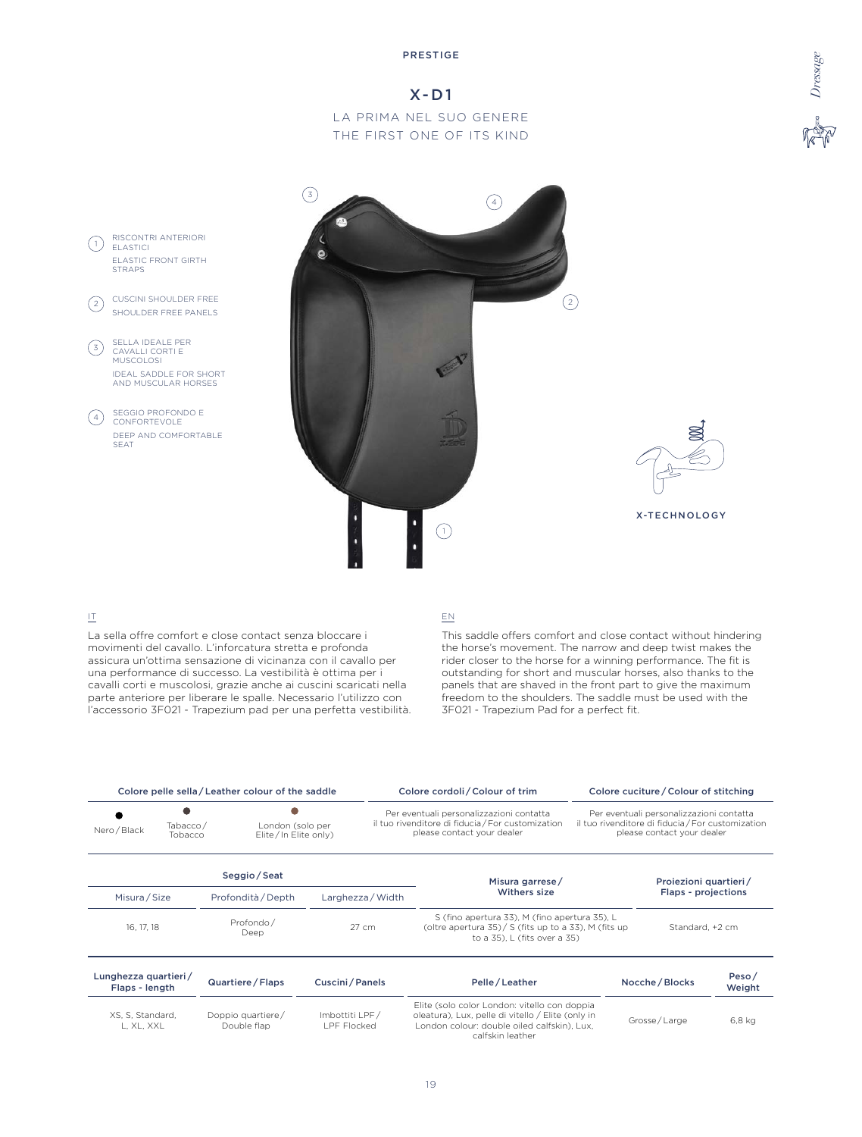# X-D1

LA PRIMA NEL SUO GENERE THE FIRST ONE OF ITS KIND



# IT

L, XL, XXL

La sella offre comfort e close contact senza bloccare i movimenti del cavallo. L'inforcatura stretta e profonda assicura un'ottima sensazione di vicinanza con il cavallo per una performance di successo. La vestibilità è ottima per i cavalli corti e muscolosi, grazie anche ai cuscini scaricati nella parte anteriore per liberare le spalle. Necessario l'utilizzo con l'accessorio 3F021 - Trapezium pad per una perfetta vestibilità.

Double flap

# EN

This saddle offers comfort and close contact without hindering the horse's movement. The narrow and deep twist makes the rider closer to the horse for a winning performance. The fit is outstanding for short and muscular horses, also thanks to the panels that are shaved in the front part to give the maximum freedom to the shoulders. The saddle must be used with the 3F021 - Trapezium Pad for a perfect fit.

*Dressage*

|                                        |  | Colore pelle sella / Leather colour of the saddle |                   | Colore cordoli / Colour of trim                                                                                                                                                                                      |  | Colore cuciture / Colour of stitching                                                                                       |                 |  |
|----------------------------------------|--|---------------------------------------------------|-------------------|----------------------------------------------------------------------------------------------------------------------------------------------------------------------------------------------------------------------|--|-----------------------------------------------------------------------------------------------------------------------------|-----------------|--|
| Tabacco/<br>Nero / Black<br>Tobacco    |  | London (solo per<br>Elite/In Elite only)          |                   | Per eventuali personalizzazioni contatta<br>il tuo rivenditore di fiducia / For customization<br>please contact your dealer                                                                                          |  | Per eventuali personalizzazioni contatta<br>il tuo rivenditore di fiducia / For customization<br>please contact your dealer |                 |  |
|                                        |  | Seggio/Seat                                       |                   | Misura garrese/                                                                                                                                                                                                      |  | Proiezioni quartieri/                                                                                                       |                 |  |
| Misura / Size                          |  | Profondità / Depth                                | Larghezza / Width | Withers size                                                                                                                                                                                                         |  | Flaps - projections                                                                                                         |                 |  |
| 16, 17, 18                             |  | Profondo/<br>Deep                                 | 27 cm             | S (fino apertura 33), M (fino apertura 35), L<br>(oltre apertura 35) / $\frac{1}{5}$ (fits up to a 33), M (fits up<br>to a 35), L (fits over a 35)                                                                   |  |                                                                                                                             | Standard, +2 cm |  |
| Lunghezza quartieri/<br>Flaps - length |  | Quartiere / Flaps                                 | Cuscini/Panels    | Pelle/Leather                                                                                                                                                                                                        |  | Nocche / Blocks                                                                                                             | Peso/<br>Weight |  |
| XS, S, Standard,                       |  | Doppio quartiere/                                 | Imbottiti LPF/    | Elite (solo color London: vitello con doppia<br>oleatura), Lux, pelle di vitello / Elite (only in<br>the contract of the contract of the contract of the contract of the contract of the contract of the contract of |  | Grosse / Large                                                                                                              | 6.8 ka          |  |

London colour: double oiled calfskin), Lux, calfskin leather

LPF Flocked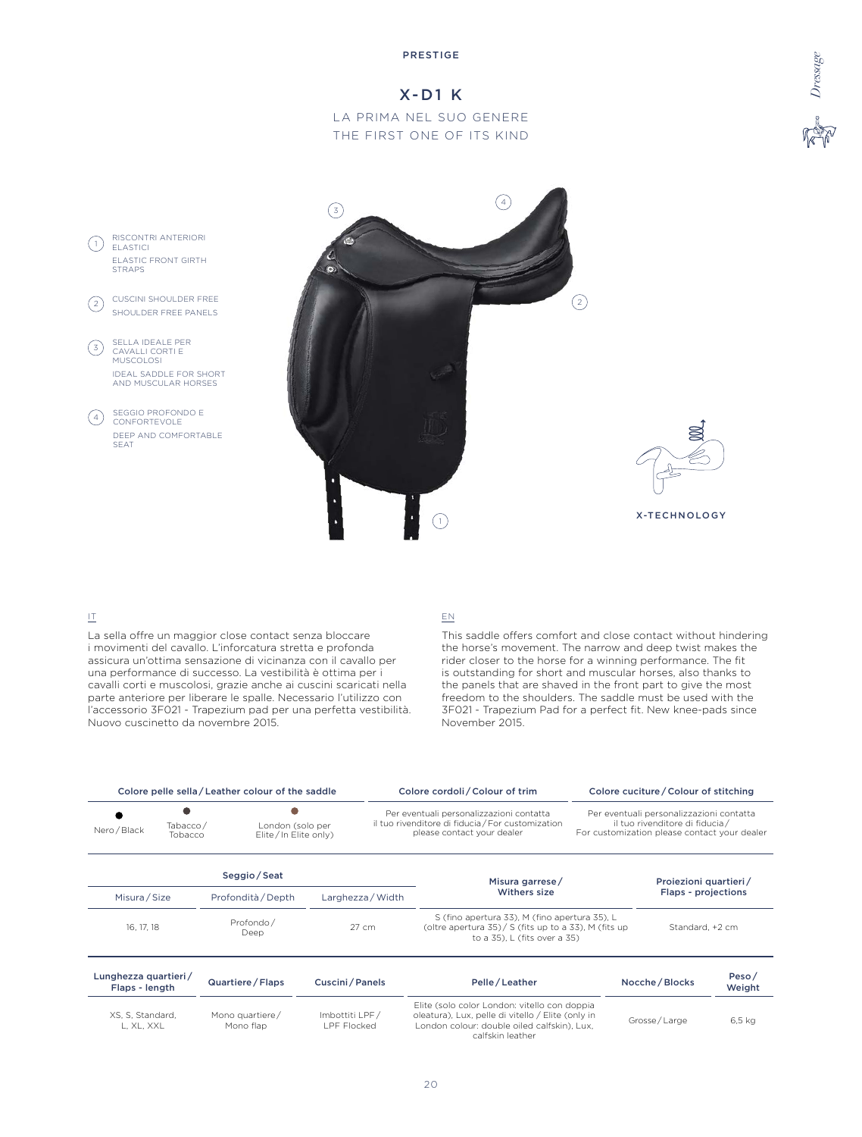# X-D1 K

LA PRIMA NEL SUO GENERE THE FIRST ONE OF ITS KIND



# IT

La sella offre un maggior close contact senza bloccare i movimenti del cavallo. L'inforcatura stretta e profonda assicura un'ottima sensazione di vicinanza con il cavallo per una performance di successo. La vestibilità è ottima per i cavalli corti e muscolosi, grazie anche ai cuscini scaricati nella parte anteriore per liberare le spalle. Necessario l'utilizzo con l'accessorio 3F021 - Trapezium pad per una perfetta vestibilità. Nuovo cuscinetto da novembre 2015.

# EN

This saddle offers comfort and close contact without hindering the horse's movement. The narrow and deep twist makes the rider closer to the horse for a winning performance. The fit is outstanding for short and muscular horses, also thanks to the panels that are shaved in the front part to give the most freedom to the shoulders. The saddle must be used with the 3F021 - Trapezium Pad for a perfect fit. New knee-pads since November 2015.

 $6.5$  kg

|                                                                                 |  | Colore pelle sella / Leather colour of the saddle |                                                                                                                             | Colore cordoli / Colour of trim                                                                                                                    |                                                                                                                            | Colore cuciture / Colour of stitching |                 |  |
|---------------------------------------------------------------------------------|--|---------------------------------------------------|-----------------------------------------------------------------------------------------------------------------------------|----------------------------------------------------------------------------------------------------------------------------------------------------|----------------------------------------------------------------------------------------------------------------------------|---------------------------------------|-----------------|--|
| Tabacco/<br>London (solo per<br>Nero / Black<br>Elite/In Elite only)<br>Tobacco |  |                                                   | Per eventuali personalizzazioni contatta<br>il tuo rivenditore di fiducia / For customization<br>please contact your dealer |                                                                                                                                                    | Per eventuali personalizzazioni contatta<br>il tuo rivenditore di fiducia/<br>For customization please contact your dealer |                                       |                 |  |
|                                                                                 |  | Seggio / Seat                                     |                                                                                                                             | Misura garrese/                                                                                                                                    |                                                                                                                            | Proiezioni quartieri/                 |                 |  |
| Misura/Size                                                                     |  | Profondità / Depth                                | Larghezza / Width                                                                                                           | Withers size                                                                                                                                       |                                                                                                                            | Flaps - projections                   |                 |  |
| 16, 17, 18                                                                      |  | Profondo/<br>Deep                                 | 27 cm                                                                                                                       | S (fino apertura 33), M (fino apertura 35), L<br>(oltre apertura 35) / $\frac{1}{5}$ (fits up to a 33), M (fits up<br>to a 35), L (fits over a 35) |                                                                                                                            | Standard, +2 cm                       |                 |  |
| Lunghezza quartieri/<br>Flaps - length                                          |  | Quartiere / Flaps                                 | Cuscini/Panels                                                                                                              | Pelle / Leather                                                                                                                                    |                                                                                                                            | Nocche / Blocks                       | Peso/<br>Weight |  |
| XS, S, Standard,                                                                |  | Mono quartiere/                                   | Imbottiti LPF/                                                                                                              | Elite (solo color London: vitello con doppia<br>oleatura), Lux, pelle di vitello / Elite (only in                                                  |                                                                                                                            | $C = 1$                               | $C = 1.4$       |  |

| S. S. Standard.<br>l. XL. XXL | Mono quartiere/<br>Mono flap | Imbottiti LPF/<br><b>LPF Flocked</b> | Elite (solo color London: vitello con doppia<br>oleatura). Lux. pelle di vitello / Elite (only in<br>London colour: double oiled calfskin). Lux.<br>calfskin leather | Grosse / Large |
|-------------------------------|------------------------------|--------------------------------------|----------------------------------------------------------------------------------------------------------------------------------------------------------------------|----------------|
|                               |                              |                                      |                                                                                                                                                                      |                |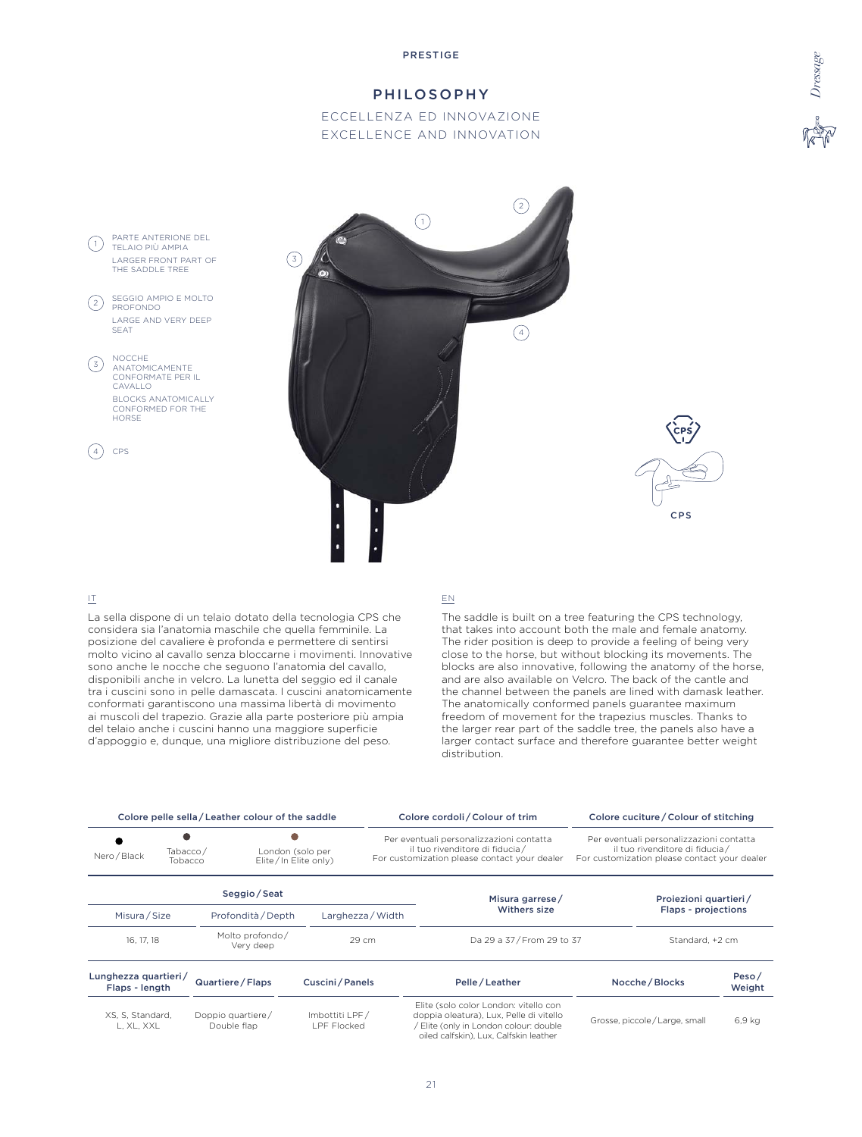# PHILOSOPHY

# ECCELLENZA ED INNOVAZIONE EXCELLENCE AND INNOVATION





# IT

La sella dispone di un telaio dotato della tecnologia CPS che considera sia l'anatomia maschile che quella femminile. La posizione del cavaliere è profonda e permettere di sentirsi molto vicino al cavallo senza bloccarne i movimenti. Innovative sono anche le nocche che seguono l'anatomia del cavallo, disponibili anche in velcro. La lunetta del seggio ed il canale tra i cuscini sono in pelle damascata. I cuscini anatomicamente conformati garantiscono una massima libertà di movimento ai muscoli del trapezio. Grazie alla parte posteriore più ampia del telaio anche i cuscini hanno una maggiore superficie d'appoggio e, dunque, una migliore distribuzione del peso.

#### EN

The saddle is built on a tree featuring the CPS technology, that takes into account both the male and female anatomy. The rider position is deep to provide a feeling of being very close to the horse, but without blocking its movements. The blocks are also innovative, following the anatomy of the horse, and are also available on Velcro. The back of the cantle and the channel between the panels are lined with damask leather. The anatomically conformed panels guarantee maximum freedom of movement for the trapezius muscles. Thanks to the larger rear part of the saddle tree, the panels also have a larger contact surface and therefore guarantee better weight distribution.

|                                        |                                            | Colore pelle sella / Leather colour of the saddle |                                          |                   | Colore cordoli / Colour of trim                                                                                                                                    |                                                                                                                            | Colore cuciture / Colour of stitching |                 |
|----------------------------------------|--------------------------------------------|---------------------------------------------------|------------------------------------------|-------------------|--------------------------------------------------------------------------------------------------------------------------------------------------------------------|----------------------------------------------------------------------------------------------------------------------------|---------------------------------------|-----------------|
| Tabacco/<br>Nero / Black<br>Tobacco    |                                            |                                                   | London (solo per<br>Elite/In Elite only) |                   | Per eventuali personalizzazioni contatta<br>il tuo rivenditore di fiducia/<br>For customization please contact your dealer                                         | Per eventuali personalizzazioni contatta<br>il tuo rivenditore di fiducia/<br>For customization please contact your dealer |                                       |                 |
|                                        |                                            | Seggio/Seat                                       |                                          |                   | Misura garrese/                                                                                                                                                    |                                                                                                                            | Proiezioni quartieri/                 |                 |
|                                        | Misura / Size<br>Profondità / Depth        |                                                   |                                          | Larghezza / Width | Withers size                                                                                                                                                       |                                                                                                                            | Flaps - projections                   |                 |
|                                        | Molto profondo/<br>16, 17, 18<br>Very deep |                                                   | 29 cm                                    |                   | Da 29 a 37/From 29 to 37                                                                                                                                           |                                                                                                                            | Standard, +2 cm                       |                 |
| Lunghezza quartieri/<br>Flaps - length |                                            | Quartiere / Flaps                                 | Cuscini / Panels                         |                   | Pelle/Leather                                                                                                                                                      |                                                                                                                            | Nocche / Blocks                       | Peso/<br>Weight |
| XS, S, Standard,<br>L. XL. XXL         |                                            | Doppio quartiere/<br>Double flap                  | Imbottiti LPF/<br><b>LPF Flocked</b>     |                   | Elite (solo color London: vitello con<br>doppia oleatura), Lux, Pelle di vitello<br>Elite (only in London colour: double<br>oiled calfskin), Lux, Calfskin leather |                                                                                                                            | Grosse, piccole/Large, small          | 6,9 kg          |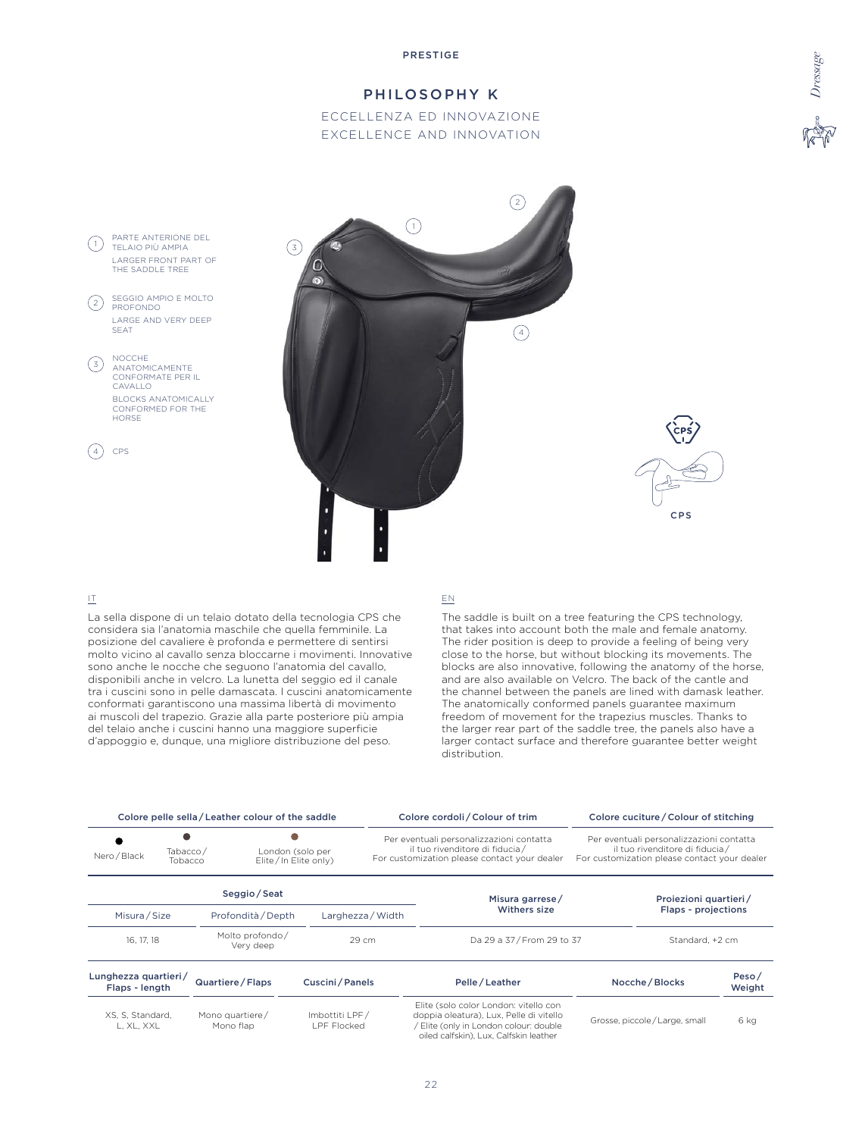# PHILOSOPHY K

# ECCELLENZA ED INNOVAZIONE EXCELLENCE AND INNOVATION





# IT

La sella dispone di un telaio dotato della tecnologia CPS che considera sia l'anatomia maschile che quella femminile. La posizione del cavaliere è profonda e permettere di sentirsi molto vicino al cavallo senza bloccarne i movimenti. Innovative sono anche le nocche che seguono l'anatomia del cavallo, disponibili anche in velcro. La lunetta del seggio ed il canale tra i cuscini sono in pelle damascata. I cuscini anatomicamente conformati garantiscono una massima libertà di movimento ai muscoli del trapezio. Grazie alla parte posteriore più ampia del telaio anche i cuscini hanno una maggiore superficie d'appoggio e, dunque, una migliore distribuzione del peso.

### EN

The saddle is built on a tree featuring the CPS technology, that takes into account both the male and female anatomy. The rider position is deep to provide a feeling of being very close to the horse, but without blocking its movements. The blocks are also innovative, following the anatomy of the horse, and are also available on Velcro. The back of the cantle and the channel between the panels are lined with damask leather. The anatomically conformed panels guarantee maximum freedom of movement for the trapezius muscles. Thanks to the larger rear part of the saddle tree, the panels also have a larger contact surface and therefore guarantee better weight distribution.

|                                                                                 |  | Colore pelle sella / Leather colour of the saddle |                                                                                                                             |              | Colore cordoli / Colour of trim                                                                                                                                      |                     | Colore cuciture / Colour of stitching |                 |
|---------------------------------------------------------------------------------|--|---------------------------------------------------|-----------------------------------------------------------------------------------------------------------------------------|--------------|----------------------------------------------------------------------------------------------------------------------------------------------------------------------|---------------------|---------------------------------------|-----------------|
| Tabacco/<br>London (solo per<br>Nero / Black<br>Elite/In Elite only)<br>Tobacco |  |                                                   | Per eventuali personalizzazioni contatta<br>il tuo rivenditore di fiducia /<br>For customization please contact your dealer |              | Per eventuali personalizzazioni contatta<br>il tuo rivenditore di fiducia/<br>For customization please contact your dealer                                           |                     |                                       |                 |
|                                                                                 |  | Seggio / Seat                                     |                                                                                                                             |              | Misura garrese/                                                                                                                                                      |                     | Proiezioni quartieri/                 |                 |
| Misura / Size<br>Profondità / Depth                                             |  |                                                   | Larghezza / Width                                                                                                           | Withers size |                                                                                                                                                                      | Flaps - projections |                                       |                 |
| 16, 17, 18                                                                      |  | Molto profondo/<br>Very deep                      | 29 cm                                                                                                                       |              | Da 29 a 37 / From 29 to 37                                                                                                                                           |                     | Standard, +2 cm                       |                 |
| Lunghezza quartieri/<br>Flaps - length                                          |  | Quartiere / Flaps                                 | Cuscini / Panels                                                                                                            |              | Pelle / Leather                                                                                                                                                      |                     | Nocche / Blocks                       | Peso/<br>Weight |
| XS, S, Standard,<br>L. XL. XXL                                                  |  | Mono quartiere/<br>Mono flap                      | Imbottiti LPF/<br><b>LPF Flocked</b>                                                                                        |              | Elite (solo color London: vitello con<br>doppia oleatura), Lux, Pelle di vitello<br>/ Elite (only in London colour: double<br>oiled calfskin), Lux, Calfskin leather |                     | Grosse, piccole/Large, small          | 6 kg            |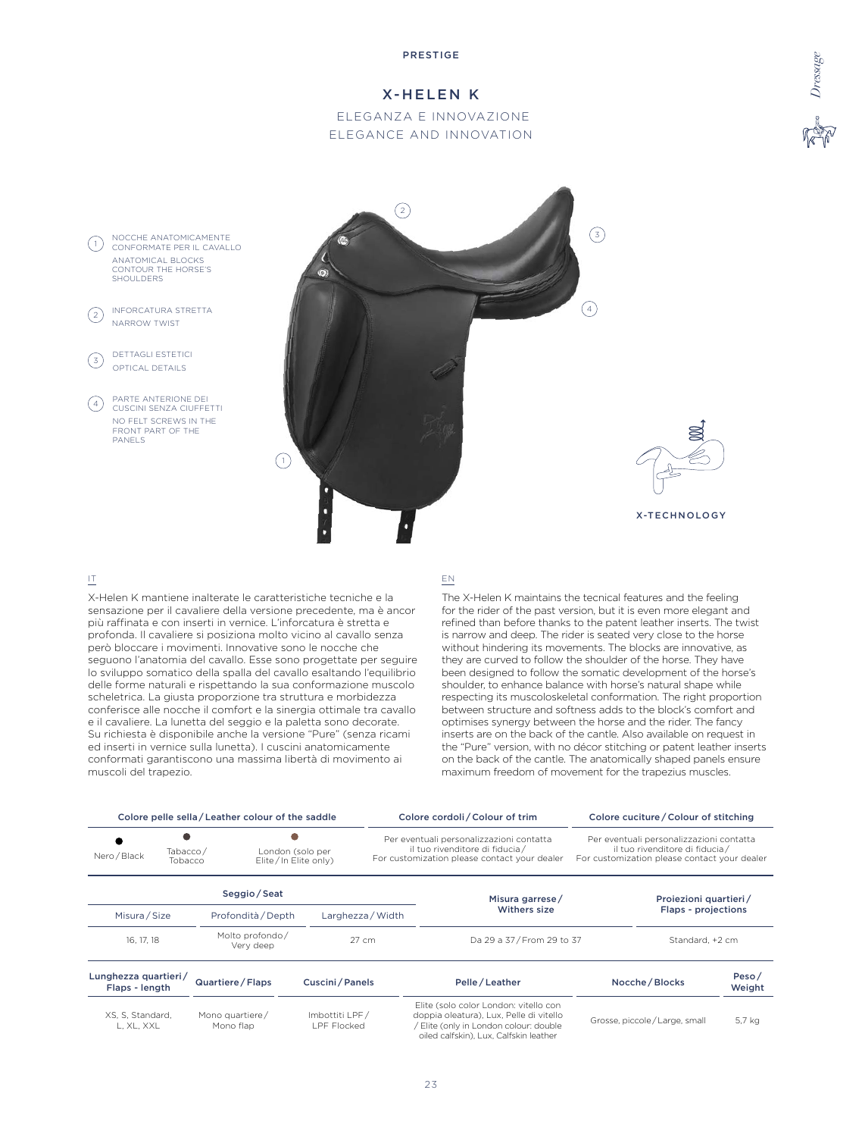# X-HELEN K

# ELEGANZA E INNOVAZIONE ELEGANCE AND INNOVATION



#### IT

X-Helen K mantiene inalterate le caratteristiche tecniche e la sensazione per il cavaliere della versione precedente, ma è ancor più raffinata e con inserti in vernice. L'inforcatura è stretta e profonda. Il cavaliere si posiziona molto vicino al cavallo senza però bloccare i movimenti. Innovative sono le nocche che seguono l'anatomia del cavallo. Esse sono progettate per seguire lo sviluppo somatico della spalla del cavallo esaltando l'equilibrio delle forme naturali e rispettando la sua conformazione muscolo scheletrica. La giusta proporzione tra struttura e morbidezza conferisce alle nocche il comfort e la sinergia ottimale tra cavallo e il cavaliere. La lunetta del seggio e la paletta sono decorate. Su richiesta è disponibile anche la versione "Pure" (senza ricami ed inserti in vernice sulla lunetta). I cuscini anatomicamente conformati garantiscono una massima libertà di movimento ai muscoli del trapezio.

#### EN

The X-Helen K maintains the tecnical features and the feeling for the rider of the past version, but it is even more elegant and refined than before thanks to the patent leather inserts. The twist is narrow and deep. The rider is seated very close to the horse without hindering its movements. The blocks are innovative, as they are curved to follow the shoulder of the horse. They have been designed to follow the somatic development of the horse's shoulder, to enhance balance with horse's natural shape while respecting its muscoloskeletal conformation. The right proportion between structure and softness adds to the block's comfort and optimises synergy between the horse and the rider. The fancy inserts are on the back of the cantle. Also available on request in the "Pure" version, with no décor stitching or patent leather inserts on the back of the cantle. The anatomically shaped panels ensure maximum freedom of movement for the trapezius muscles.

|                                     |  | Colore pelle sella / Leather colour of the saddle |                   |  | Colore cordoli / Colour of trim                                                                                             |                                                                                                                             | Colore cuciture / Colour of stitching |
|-------------------------------------|--|---------------------------------------------------|-------------------|--|-----------------------------------------------------------------------------------------------------------------------------|-----------------------------------------------------------------------------------------------------------------------------|---------------------------------------|
| Tabacco/<br>Nero / Black<br>Tobacco |  | London (solo per<br>Elite/In Elite only)          |                   |  | Per eventuali personalizzazioni contatta<br>il tuo rivenditore di fiducia /<br>For customization please contact your dealer | Per eventuali personalizzazioni contatta<br>il tuo rivenditore di fiducia /<br>For customization please contact your dealer |                                       |
|                                     |  | Seggio/Seat                                       |                   |  | Misura garrese/                                                                                                             |                                                                                                                             | Proiezioni quartieri/                 |
| Misura/Size                         |  | Profondità / Depth                                | Larghezza / Width |  | Withers size                                                                                                                |                                                                                                                             | Flaps - projections                   |
| 16, 17, 18                          |  | Molto profondo/<br>Verv deep                      | $27 \text{ cm}$   |  | Da 29 a 37/From 29 to 37                                                                                                    |                                                                                                                             | Standard, +2 cm                       |

| Lunghezza quartieri/<br>Flaps - length | Quartiere / Flaps            | Cuscini / Panels              | Pelle/Leather                                                                                                                                                      | Nocche / Blocks              | Peso/<br>Weight |
|----------------------------------------|------------------------------|-------------------------------|--------------------------------------------------------------------------------------------------------------------------------------------------------------------|------------------------------|-----------------|
| XS, S, Standard,<br>L. XL. XXL         | Mono quartiere/<br>Mono flap | Imbottiti LPF/<br>LPF Flocked | Elite (solo color London: vitello con<br>doppia oleatura), Lux, Pelle di vitello<br>Elite (only in London colour: double<br>oiled calfskin), Lux, Calfskin leather | Grosse, piccole/Large, small | 5,7 kg          |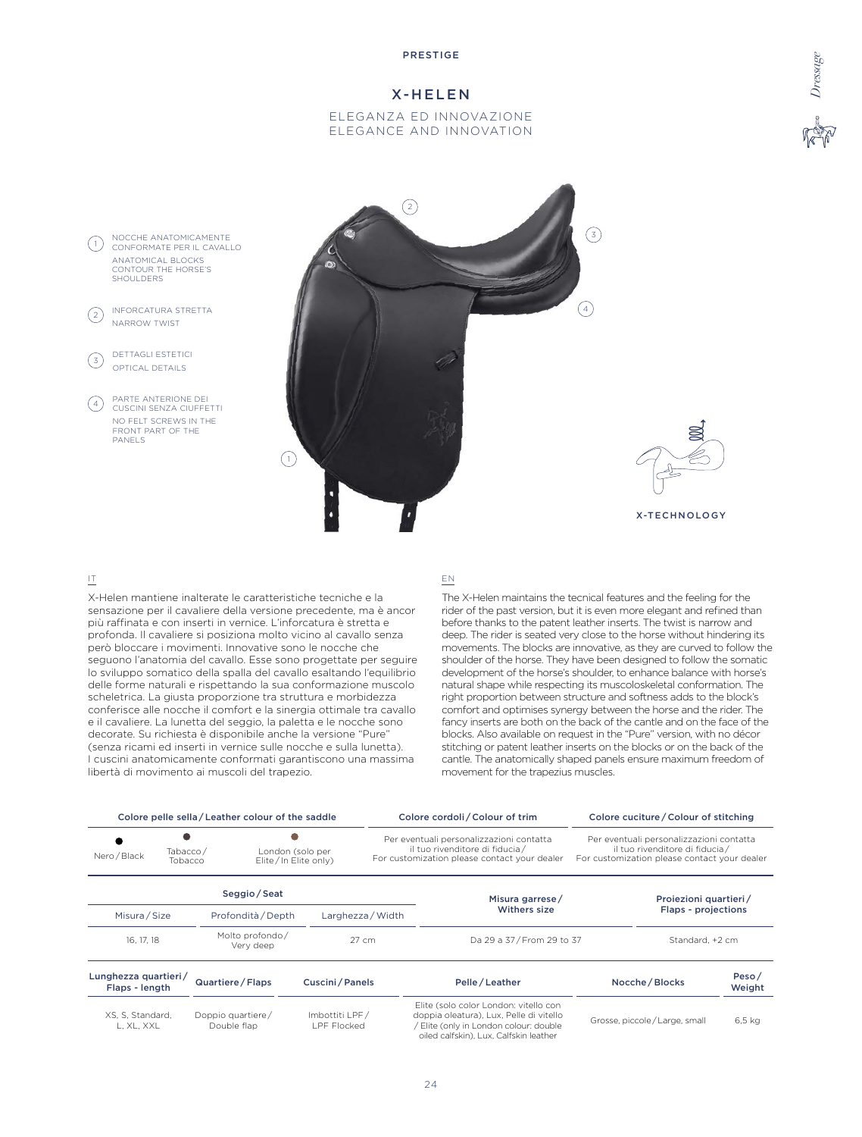### X-HELEN

### ELEGANZA ED INNOVAZIONE ELEGANCE AND INNOVATION



#### IT

NOCCHE ANATOMICAMENTE

ANATOMICAL BLOCKS CONTOUR THE HORSE'S

INFORCATURA STRETTA NARROW TWIST

DETTAGLI ESTETICI  $\left(\begin{matrix}3\end{matrix}\right)$  DETTAGLIESTETIC

> PARTE ANTERIONE DEI CUSCINI SENZA CIUFFETTI NO FELT SCREWS IN THE FRONT PART OF THE

**PANELS** 

SHOULDERS

 $(1)$ 

 $(2)$ 

 $(4)$ 

X-Helen mantiene inalterate le caratteristiche tecniche e la sensazione per il cavaliere della versione precedente, ma è ancor più raffinata e con inserti in vernice. L'inforcatura è stretta e profonda. Il cavaliere si posiziona molto vicino al cavallo senza però bloccare i movimenti. Innovative sono le nocche che seguono l'anatomia del cavallo. Esse sono progettate per seguire lo sviluppo somatico della spalla del cavallo esaltando l'equilibrio delle forme naturali e rispettando la sua conformazione muscolo scheletrica. La giusta proporzione tra struttura e morbidezza conferisce alle nocche il comfort e la sinergia ottimale tra cavallo e il cavaliere. La lunetta del seggio, la paletta e le nocche sono decorate. Su richiesta è disponibile anche la versione "Pure" (senza ricami ed inserti in vernice sulle nocche e sulla lunetta). I cuscini anatomicamente conformati garantiscono una massima libertà di movimento ai muscoli del trapezio.

#### EN

The X-Helen maintains the tecnical features and the feeling for the rider of the past version, but it is even more elegant and refined than before thanks to the patent leather inserts. The twist is narrow and deep. The rider is seated very close to the horse without hindering its movements. The blocks are innovative, as they are curved to follow the shoulder of the horse. They have been designed to follow the somatic development of the horse's shoulder, to enhance balance with horse's natural shape while respecting its muscoloskeletal conformation. The right proportion between structure and softness adds to the block's comfort and optimises synergy between the horse and the rider. The fancy inserts are both on the back of the cantle and on the face of the blocks. Also available on request in the "Pure" version, with no décor stitching or patent leather inserts on the blocks or on the back of the cantle. The anatomically shaped panels ensure maximum freedom of movement for the trapezius muscles.

X-TECHNOLOGY

|                                        |  | Colore pelle sella / Leather colour of the saddle |                  |                   | Colore cordoli / Colour of trim                                                                                             | Colore cuciture / Colour of stitching                                                                                      |                       |
|----------------------------------------|--|---------------------------------------------------|------------------|-------------------|-----------------------------------------------------------------------------------------------------------------------------|----------------------------------------------------------------------------------------------------------------------------|-----------------------|
| Tabacco/<br>Nero / Black<br>Tobacco    |  | London (solo per<br>Elite/In Elite only)          |                  |                   | Per eventuali personalizzazioni contatta<br>il tuo rivenditore di fiducia /<br>For customization please contact your dealer | Per eventuali personalizzazioni contatta<br>il tuo rivenditore di fiducia/<br>For customization please contact your dealer |                       |
|                                        |  | Seggio / Seat                                     |                  |                   | Misura garrese/                                                                                                             |                                                                                                                            | Projezioni quartieri/ |
| Misura / Size                          |  | Profondità / Depth                                |                  | Larghezza / Width | Withers size                                                                                                                |                                                                                                                            | Flaps - projections   |
| 16, 17, 18                             |  | Molto profondo/<br>Very deep                      |                  | $27 \text{ cm}$   | Da 29 a 37/From 29 to 37                                                                                                    |                                                                                                                            | Standard, +2 cm       |
| Lunghezza quartieri/<br>Flaps - length |  | Quartiere / Flaps                                 | Cuscini / Panels |                   | Pelle / Leather                                                                                                             | Nocche / Blocks                                                                                                            | Peso/<br>Weight       |

| וווטרוסו ־ כשום ו              |                                  |                              |                                                                                                                                                                      |                              | VCTY111 |
|--------------------------------|----------------------------------|------------------------------|----------------------------------------------------------------------------------------------------------------------------------------------------------------------|------------------------------|---------|
| XS, S, Standard,<br>L. XL. XXL | Doppio quartiere/<br>Double flap | Imbottiti LPF/<br>PF Flocked | Elite (solo color London: vitello con<br>doppia oleatura), Lux, Pelle di vitello<br>/ Elite (only in London colour: double<br>oiled calfskin). Lux. Calfskin leather | Grosse, piccole/Large, small | 6.5 ka  |
|                                |                                  |                              |                                                                                                                                                                      |                              |         |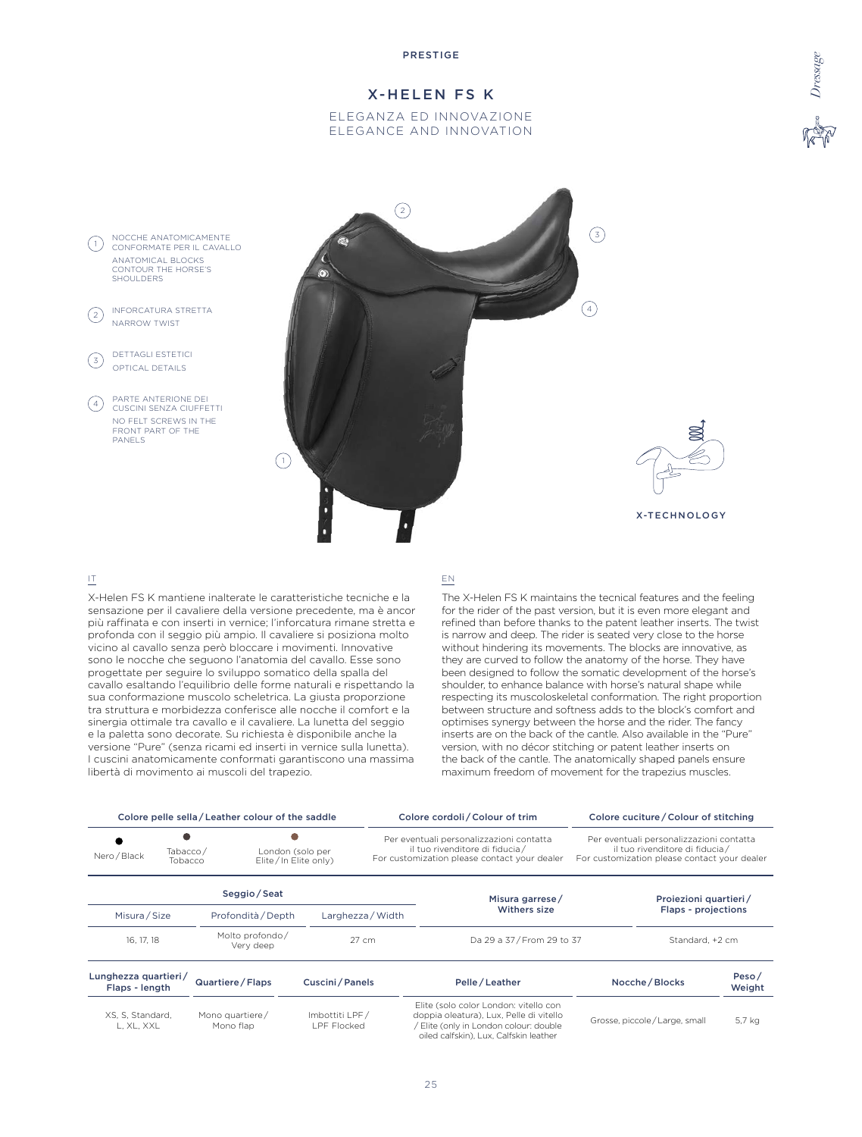# X-HELEN FS K

### ELEGANZA ED INNOVAZIONE ELEGANCE AND INNOVATION





### IT

X-Helen FS K mantiene inalterate le caratteristiche tecniche e la sensazione per il cavaliere della versione precedente, ma è ancor più raffinata e con inserti in vernice; l'inforcatura rimane stretta e profonda con il seggio più ampio. Il cavaliere si posiziona molto vicino al cavallo senza però bloccare i movimenti. Innovative sono le nocche che seguono l'anatomia del cavallo. Esse sono progettate per seguire lo sviluppo somatico della spalla del cavallo esaltando l'equilibrio delle forme naturali e rispettando la sua conformazione muscolo scheletrica. La giusta proporzione tra struttura e morbidezza conferisce alle nocche il comfort e la sinergia ottimale tra cavallo e il cavaliere. La lunetta del seggio e la paletta sono decorate. Su richiesta è disponibile anche la versione "Pure" (senza ricami ed inserti in vernice sulla lunetta). I cuscini anatomicamente conformati garantiscono una massima libertà di movimento ai muscoli del trapezio.

16, 17, 18 Molto profondo /<br>Very deep

#### EN

The X-Helen FS K maintains the tecnical features and the feeling for the rider of the past version, but it is even more elegant and refined than before thanks to the patent leather inserts. The twist is narrow and deep. The rider is seated very close to the horse without hindering its movements. The blocks are innovative, as they are curved to follow the anatomy of the horse. They have been designed to follow the somatic development of the horse's shoulder, to enhance balance with horse's natural shape while respecting its muscoloskeletal conformation. The right proportion between structure and softness adds to the block's comfort and optimises synergy between the horse and the rider. The fancy inserts are on the back of the cantle. Also available in the "Pure" version, with no décor stitching or patent leather inserts on the back of the cantle. The anatomically shaped panels ensure maximum freedom of movement for the trapezius muscles.

27 cm Da 29 a 37 / From 29 to 37 Standard, +2 cm

|                                                                                 |  | Colore pelle sella / Leather colour of the saddle |                                                                                                                             | Colore cordoli / Colour of trim                                                                                             | Colore cuciture / Colour of stitching |
|---------------------------------------------------------------------------------|--|---------------------------------------------------|-----------------------------------------------------------------------------------------------------------------------------|-----------------------------------------------------------------------------------------------------------------------------|---------------------------------------|
| Tabacco/<br>London (solo per<br>Nero / Black<br>Elite/In Elite only)<br>Tobacco |  |                                                   | Per eventuali personalizzazioni contatta<br>il tuo rivenditore di fiducia /<br>For customization please contact your dealer | Per eventuali personalizzazioni contatta<br>il tuo rivenditore di fiducia /<br>For customization please contact your dealer |                                       |
|                                                                                 |  | Seggio/Seat                                       |                                                                                                                             | Misura garrese/                                                                                                             | Proiezioni quartieri/                 |
| Misura / Size                                                                   |  | Profondità / Depth                                | Larghezza / Width                                                                                                           | <b>Withers size</b>                                                                                                         | Flaps - projections                   |

| Lunghezza quartieri/<br>Flaps - length | Quartiere / Flaps            | Cuscini / Panels              | Pelle/Leather                                                                                                                                                      | Nocche / Blocks              | Peso/<br>Weight |
|----------------------------------------|------------------------------|-------------------------------|--------------------------------------------------------------------------------------------------------------------------------------------------------------------|------------------------------|-----------------|
| XS, S, Standard,<br>L. XL. XXL         | Mono quartiere/<br>Mono flap | Imbottiti LPF/<br>LPF Flocked | Elite (solo color London: vitello con<br>doppia oleatura), Lux, Pelle di vitello<br>Elite (only in London colour: double<br>oiled calfskin), Lux, Calfskin leather | Grosse, piccole/Large, small | 5,7 kg          |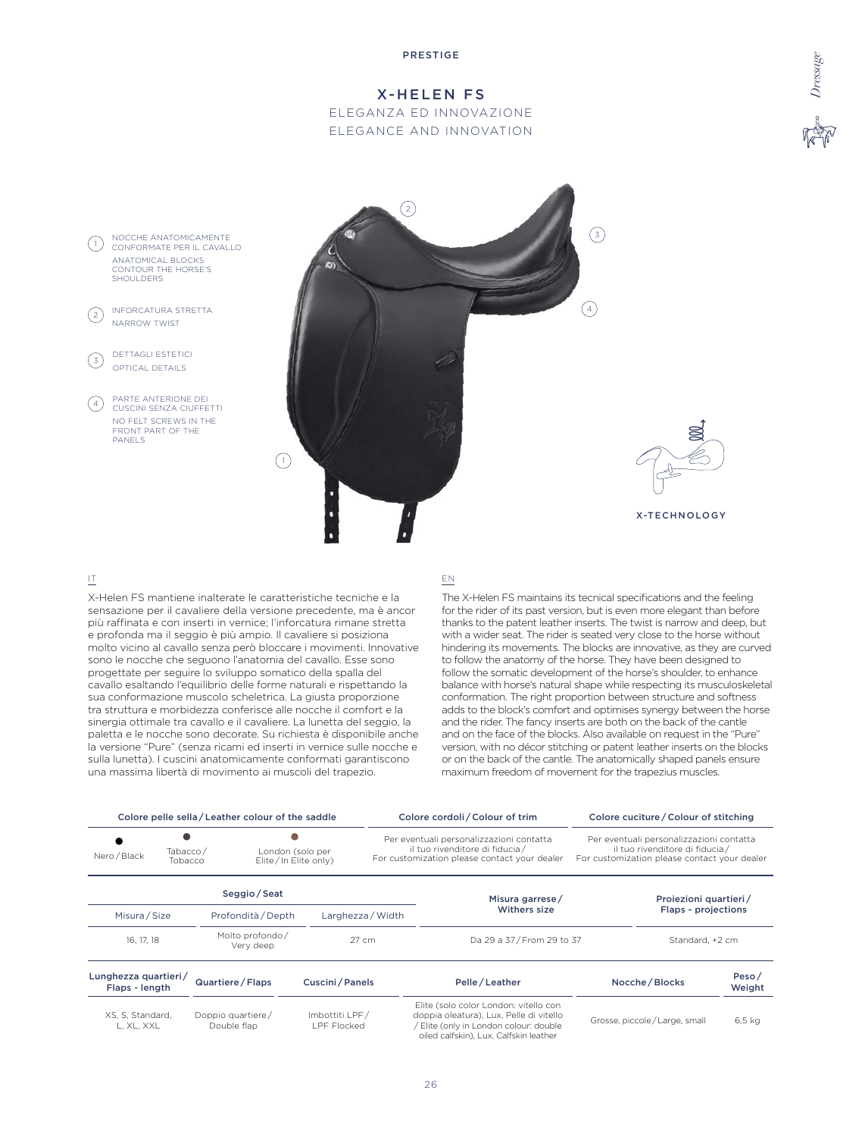# X-HELEN FS

ELEGANZA ED INNOVAZIONE ELEGANCE AND INNOVATION



### IT

X-Helen FS mantiene inalterate le caratteristiche tecniche e la sensazione per il cavaliere della versione precedente, ma è ancor più raffinata e con inserti in vernice; l'inforcatura rimane stretta e profonda ma il seggio è più ampio. Il cavaliere si posiziona molto vicino al cavallo senza però bloccare i movimenti. Innovative sono le nocche che seguono l'anatomia del cavallo. Esse sono progettate per seguire lo sviluppo somatico della spalla del cavallo esaltando l'equilibrio delle forme naturali e rispettando la sua conformazione muscolo scheletrica. La giusta proporzione tra struttura e morbidezza conferisce alle nocche il comfort e la sinergia ottimale tra cavallo e il cavaliere. La lunetta del seggio, la paletta e le nocche sono decorate. Su richiesta è disponibile anche la versione "Pure" (senza ricami ed inserti in vernice sulle nocche e sulla lunetta). I cuscini anatomicamente conformati garantiscono una massima libertà di movimento ai muscoli del trapezio.

#### EN

The X-Helen FS maintains its tecnical specifications and the feeling for the rider of its past version, but is even more elegant than before thanks to the patent leather inserts. The twist is narrow and deep, but with a wider seat. The rider is seated very close to the horse without hindering its movements. The blocks are innovative, as they are curved to follow the anatomy of the horse. They have been designed to follow the somatic development of the horse's shoulder, to enhance balance with horse's natural shape while respecting its musculoskeletal conformation. The right proportion between structure and softness adds to the block's comfort and optimises synergy between the horse and the rider. The fancy inserts are both on the back of the cantle and on the face of the blocks. Also available on request in the "Pure" version, with no décor stitching or patent leather inserts on the blocks or on the back of the cantle. The anatomically shaped panels ensure maximum freedom of movement for the trapezius muscles.

|                                        |                                                                 | Colore pelle sella / Leather colour of the saddle |                  |                                                                                                                             | Colore cordoli / Colour of trim        | Colore cuciture / Colour of stitching                                                                                      |                                              |
|----------------------------------------|-----------------------------------------------------------------|---------------------------------------------------|------------------|-----------------------------------------------------------------------------------------------------------------------------|----------------------------------------|----------------------------------------------------------------------------------------------------------------------------|----------------------------------------------|
| Nero / Black                           | Tabacco/<br>London (solo per<br>Elite/In Elite only)<br>Tobacco |                                                   |                  | Per eventuali personalizzazioni contatta<br>il tuo rivenditore di fiducia /<br>For customization please contact your dealer |                                        | Per eventuali personalizzazioni contatta<br>il tuo rivenditore di fiducia/<br>For customization please contact your dealer |                                              |
| Misura / Size                          |                                                                 | Seggio/Seat<br>Profondità / Depth                 |                  | Larghezza / Width                                                                                                           | Misura garrese/<br><b>Withers size</b> |                                                                                                                            | Projezioni quartieri/<br>Flaps - projections |
| 16, 17, 18                             |                                                                 | Molto profondo/<br>Very deep                      |                  | $27 \text{ cm}$                                                                                                             | Da 29 a 37 / From 29 to 37             |                                                                                                                            | Standard, +2 cm                              |
| Lunghezza quartieri/<br>Flaps - length |                                                                 | Quartiere / Flaps                                 | Cuscini / Panels |                                                                                                                             | Pelle / Leather                        | Nocche / Blocks                                                                                                            | Peso/<br>Weight                              |

| Flaps - length                 | 344111111771111122               | $\sim$ uschild i uncis         | . <b></b>                                                                                                                                                              | 1100                         | Weight |
|--------------------------------|----------------------------------|--------------------------------|------------------------------------------------------------------------------------------------------------------------------------------------------------------------|------------------------------|--------|
| XS. S. Standard.<br>L. XL. XXL | Doppio quartiere/<br>Double flap | Imbottiti LPF/<br>I PF Flocked | Elite (solo color London: vitello con<br>doppia oleatura), Lux, Pelle di vitello<br>/ Elite (only in London colour: double )<br>oiled calfskin). Lux. Calfskin leather | Grosse, piccole/Large, small | 6.5 ka |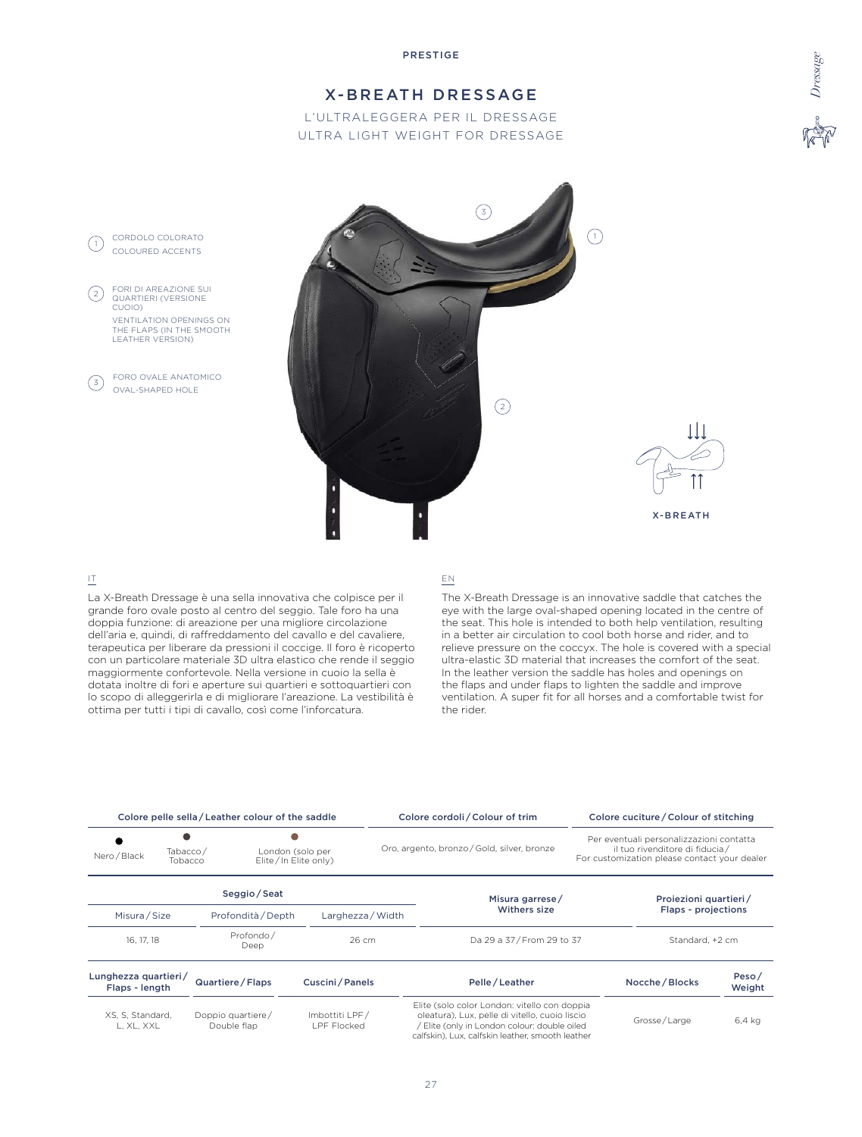# X-BREATH DRESSAGE

L'ULTRALEGGERA PER IL DRESSAGE ULTRA LIGHT WEIGHT FOR DRESSAGE





### IT

La X-Breath Dressage è una sella innovativa che colpisce per il grande foro ovale posto al centro del seggio. Tale foro ha una doppia funzione: di areazione per una migliore circolazione dell'aria e, quindi, di raffreddamento del cavallo e del cavaliere, terapeutica per liberare da pressioni il coccige. Il foro è ricoperto con un particolare materiale 3D ultra elastico che rende il seggio maggiormente confortevole. Nella versione in cuoio la sella è dotata inoltre di fori e aperture sui quartieri e sottoquartieri con lo scopo di alleggerirla e di migliorare l'areazione. La vestibilità è ottima per tutti i tipi di cavallo, così come l'inforcatura.

#### EN

The X-Breath Dressage is an innovative saddle that catches the eye with the large oval-shaped opening located in the centre of the seat. This hole is intended to both help ventilation, resulting in a better air circulation to cool both horse and rider, and to relieve pressure on the coccyx. The hole is covered with a special ultra-elastic 3D material that increases the comfort of the seat. In the leather version the saddle has holes and openings on the flaps and under flaps to lighten the saddle and improve ventilation. A super fit for all horses and a comfortable twist for the rider.

|                                                                                 |  | Colore pelle sella / Leather colour of the saddle |                                      | Colore cordoli / Colour of trim                                                                                                                                                                  |                                                                                                                            | Colore cuciture / Colour of stitching |                 |
|---------------------------------------------------------------------------------|--|---------------------------------------------------|--------------------------------------|--------------------------------------------------------------------------------------------------------------------------------------------------------------------------------------------------|----------------------------------------------------------------------------------------------------------------------------|---------------------------------------|-----------------|
| Tabacco/<br>London (solo per<br>Nero / Black<br>Elite/In Elite only)<br>Tobacco |  |                                                   |                                      | Oro, argento, bronzo / Gold, silver, bronze                                                                                                                                                      | Per eventuali personalizzazioni contatta<br>il tuo rivenditore di fiducia/<br>For customization please contact your dealer |                                       |                 |
|                                                                                 |  | Seggio / Seat                                     |                                      | Misura garrese/                                                                                                                                                                                  |                                                                                                                            | Proiezioni quartieri/                 |                 |
| Misura/Size<br>Profondità / Depth                                               |  | Larghezza / Width                                 | Withers size                         |                                                                                                                                                                                                  | Flaps - projections                                                                                                        |                                       |                 |
| 16, 17, 18                                                                      |  | Profondo/<br>Deep                                 | 26 cm                                | Da 29 a 37/From 29 to 37                                                                                                                                                                         |                                                                                                                            | Standard, +2 cm                       |                 |
| Lunghezza quartieri/<br>Flaps - length                                          |  | Quartiere / Flaps                                 | Cuscini / Panels                     | Pelle / Leather                                                                                                                                                                                  |                                                                                                                            | Nocche / Blocks                       | Peso/<br>Weight |
| XS, S, Standard,<br>L. XL. XXL                                                  |  | Doppio quartiere/<br>Double flap                  | Imbottiti LPF/<br><b>LPF Flocked</b> | Elite (solo color London: vitello con doppia<br>oleatura), Lux, pelle di vitello, cuoio liscio<br>Elite (only in London colour: double oiled<br>calfskin). Lux. calfskin leather, smooth leather |                                                                                                                            | Grosse/Large                          | 6.4 kg          |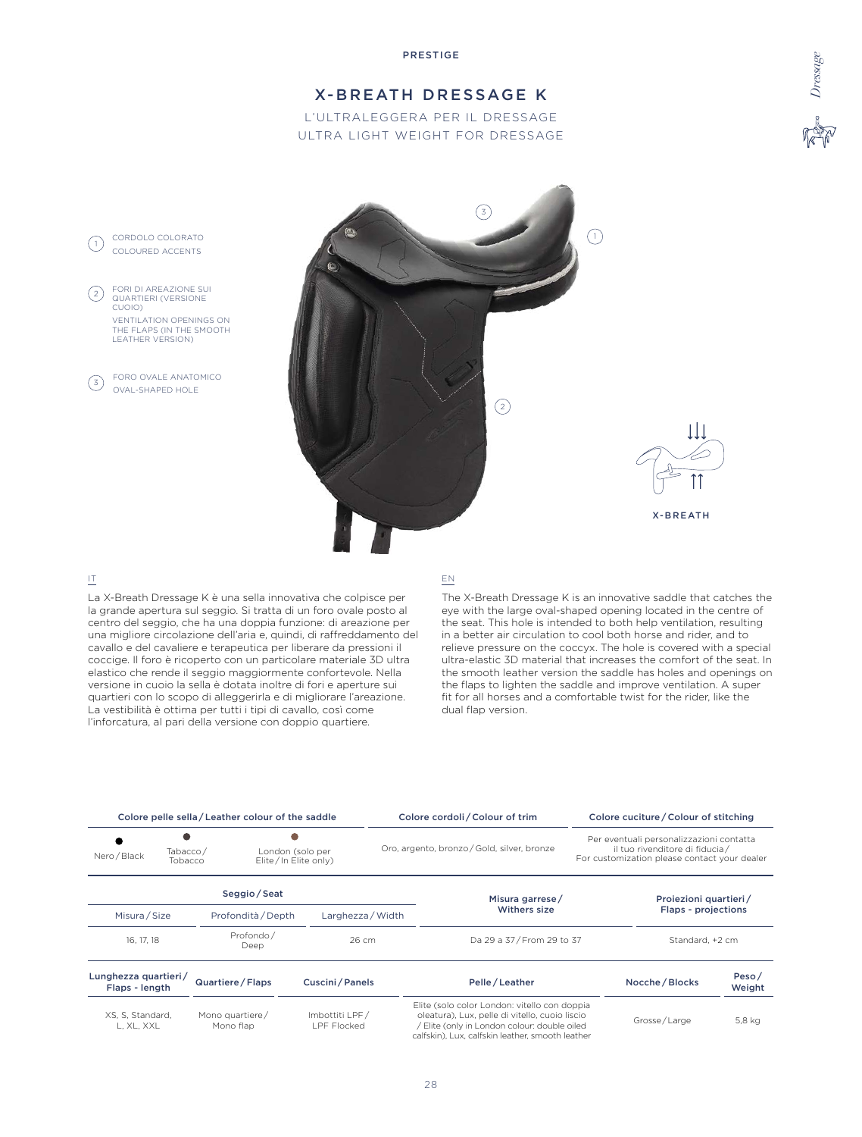# X-BREATH DRESSAGE K

L'ULTRALEGGERA PER IL DRESSAGE ULTRA LIGHT WEIGHT FOR DRESSAGE





### IT

 $\left( 2\right)$ 

La X-Breath Dressage K è una sella innovativa che colpisce per la grande apertura sul seggio. Si tratta di un foro ovale posto al centro del seggio, che ha una doppia funzione: di areazione per una migliore circolazione dell'aria e, quindi, di raffreddamento del cavallo e del cavaliere e terapeutica per liberare da pressioni il coccige. Il foro è ricoperto con un particolare materiale 3D ultra elastico che rende il seggio maggiormente confortevole. Nella versione in cuoio la sella è dotata inoltre di fori e aperture sui quartieri con lo scopo di alleggerirla e di migliorare l'areazione. La vestibilità è ottima per tutti i tipi di cavallo, così come l'inforcatura, al pari della versione con doppio quartiere.

#### EN

The X-Breath Dressage K is an innovative saddle that catches the eye with the large oval-shaped opening located in the centre of the seat. This hole is intended to both help ventilation, resulting in a better air circulation to cool both horse and rider, and to relieve pressure on the coccyx. The hole is covered with a special ultra-elastic 3D material that increases the comfort of the seat. In the smooth leather version the saddle has holes and openings on the flaps to lighten the saddle and improve ventilation. A super fit for all horses and a comfortable twist for the rider, like the dual flap version.

|                                        |                                                                 | Colore pelle sella / Leather colour of the saddle |                               | Colore cordoli / Colour of trim                                                                                                                                                                  |                                                                                                                             | Colore cuciture / Colour of stitching |                 |
|----------------------------------------|-----------------------------------------------------------------|---------------------------------------------------|-------------------------------|--------------------------------------------------------------------------------------------------------------------------------------------------------------------------------------------------|-----------------------------------------------------------------------------------------------------------------------------|---------------------------------------|-----------------|
| Nero / Black                           | Tabacco/<br>London (solo per<br>Elite/In Elite only)<br>Tobacco |                                                   |                               | Oro, argento, bronzo / Gold, silver, bronze                                                                                                                                                      | Per eventuali personalizzazioni contatta<br>il tuo rivenditore di fiducia /<br>For customization please contact your dealer |                                       |                 |
|                                        |                                                                 | Seggio / Seat                                     |                               | Misura garrese/                                                                                                                                                                                  |                                                                                                                             | Proiezioni quartieri/                 |                 |
| Misura / Size<br>Profondità / Depth    |                                                                 | Larghezza / Width                                 | Withers size                  | Flaps - projections                                                                                                                                                                              |                                                                                                                             |                                       |                 |
| 16, 17, 18                             |                                                                 | Profondo/<br>Deep                                 | 26 cm                         | Da 29 a 37 / From 29 to 37                                                                                                                                                                       |                                                                                                                             | Standard, +2 cm                       |                 |
| Lunghezza quartieri/<br>Flaps - length |                                                                 | Quartiere / Flaps                                 | Cuscini / Panels              | Pelle / Leather                                                                                                                                                                                  |                                                                                                                             | Nocche / Blocks                       | Peso/<br>Weight |
| XS, S, Standard,<br>L, XL, XXL         |                                                                 | Mono quartiere/<br>Mono flap                      | Imbottiti LPF/<br>LPF Flocked | Elite (solo color London: vitello con doppia<br>oleatura), Lux, pelle di vitello, cuoio liscio<br>Elite (only in London colour: double oiled<br>calfskin). Lux. calfskin leather, smooth leather |                                                                                                                             | Grosse/Large                          | 5,8 kg          |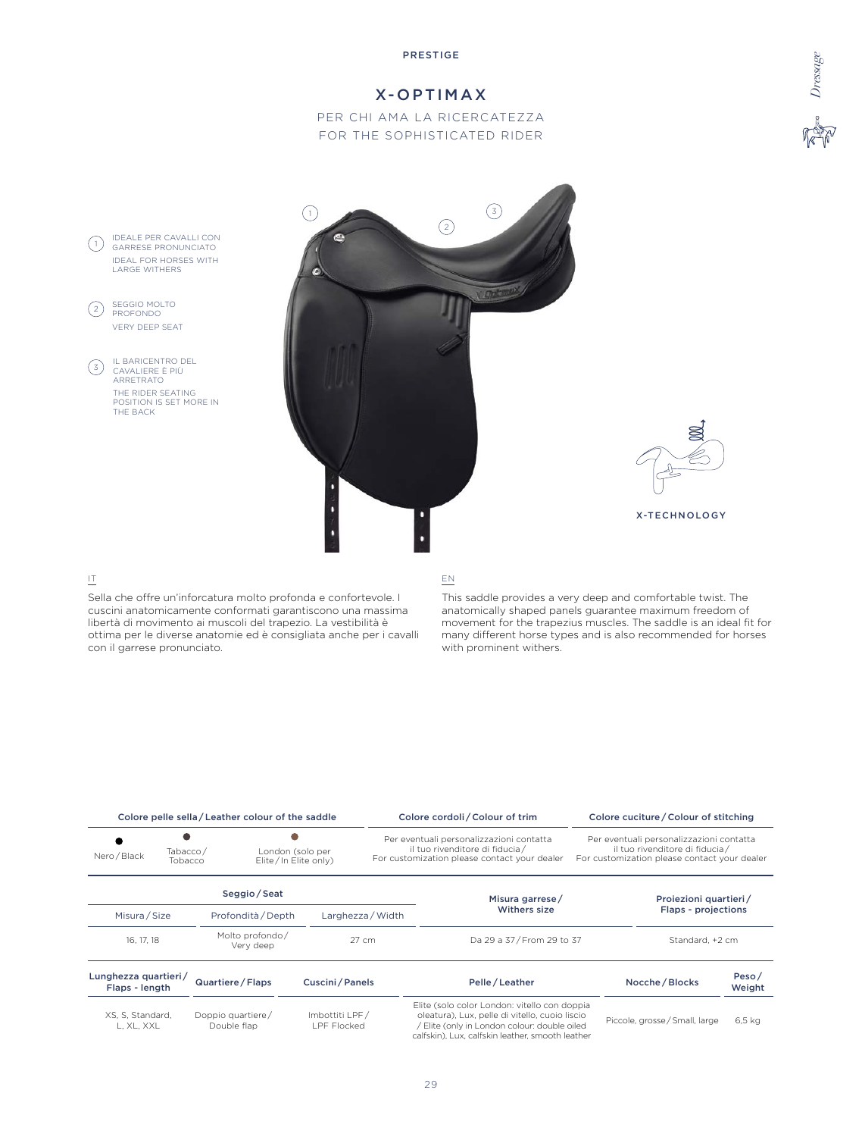# X-OPTIMAX

PER CHI AMA LA RICERCATEZZA FOR THE SOPHISTICATED RIDER



### IT

Sella che offre un'inforcatura molto profonda e confortevole. I cuscini anatomicamente conformati garantiscono una massima libertà di movimento ai muscoli del trapezio. La vestibilità è ottima per le diverse anatomie ed è consigliata anche per i cavalli con il garrese pronunciato.

#### EN

This saddle provides a very deep and comfortable twist. The anatomically shaped panels guarantee maximum freedom of movement for the trapezius muscles. The saddle is an ideal fit for many different horse types and is also recommended for horses with prominent withers.

|                                        |                                                                 | Colore pelle sella / Leather colour of the saddle |                                      |                                                                                                                             | Colore cordoli / Colour of trim                                                                                                                                                                    |                                                                                                                            | Colore cuciture / Colour of stitching |                 |
|----------------------------------------|-----------------------------------------------------------------|---------------------------------------------------|--------------------------------------|-----------------------------------------------------------------------------------------------------------------------------|----------------------------------------------------------------------------------------------------------------------------------------------------------------------------------------------------|----------------------------------------------------------------------------------------------------------------------------|---------------------------------------|-----------------|
| Nero / Black                           | London (solo per<br>Tabacco/<br>Elite/In Elite only)<br>Tobacco |                                                   |                                      | Per eventuali personalizzazioni contatta<br>il tuo rivenditore di fiducia /<br>For customization please contact your dealer |                                                                                                                                                                                                    | Per eventuali personalizzazioni contatta<br>il tuo rivenditore di fiducia/<br>For customization please contact your dealer |                                       |                 |
|                                        |                                                                 | Seggio/Seat                                       |                                      |                                                                                                                             | Misura garrese/                                                                                                                                                                                    |                                                                                                                            | Proiezioni quartieri/                 |                 |
| Misura / Size                          |                                                                 | Profondità / Depth                                |                                      | Larghezza / Width                                                                                                           | Withers size                                                                                                                                                                                       |                                                                                                                            | Flaps - projections                   |                 |
| 16, 17, 18                             |                                                                 | Molto profondo/<br>Very deep                      |                                      | 27 cm                                                                                                                       | Da 29 a 37/From 29 to 37                                                                                                                                                                           |                                                                                                                            | Standard, +2 cm                       |                 |
| Lunghezza quartieri/<br>Flaps - length |                                                                 | Quartiere / Flaps                                 | Cuscini / Panels                     |                                                                                                                             | Pelle/Leather                                                                                                                                                                                      |                                                                                                                            | Nocche / Blocks                       | Peso/<br>Weight |
| XS, S, Standard,<br>L, XL, XXL         |                                                                 | Doppio quartiere/<br>Double flap                  | Imbottiti LPF/<br><b>LPF Flocked</b> |                                                                                                                             | Elite (solo color London: vitello con doppia<br>oleatura), Lux, pelle di vitello, cuoio liscio<br>/ Elite (only in London colour: double oiled<br>calfskin), Lux, calfskin leather, smooth leather |                                                                                                                            | Piccole, grosse / Small, large        | $6.5$ kg        |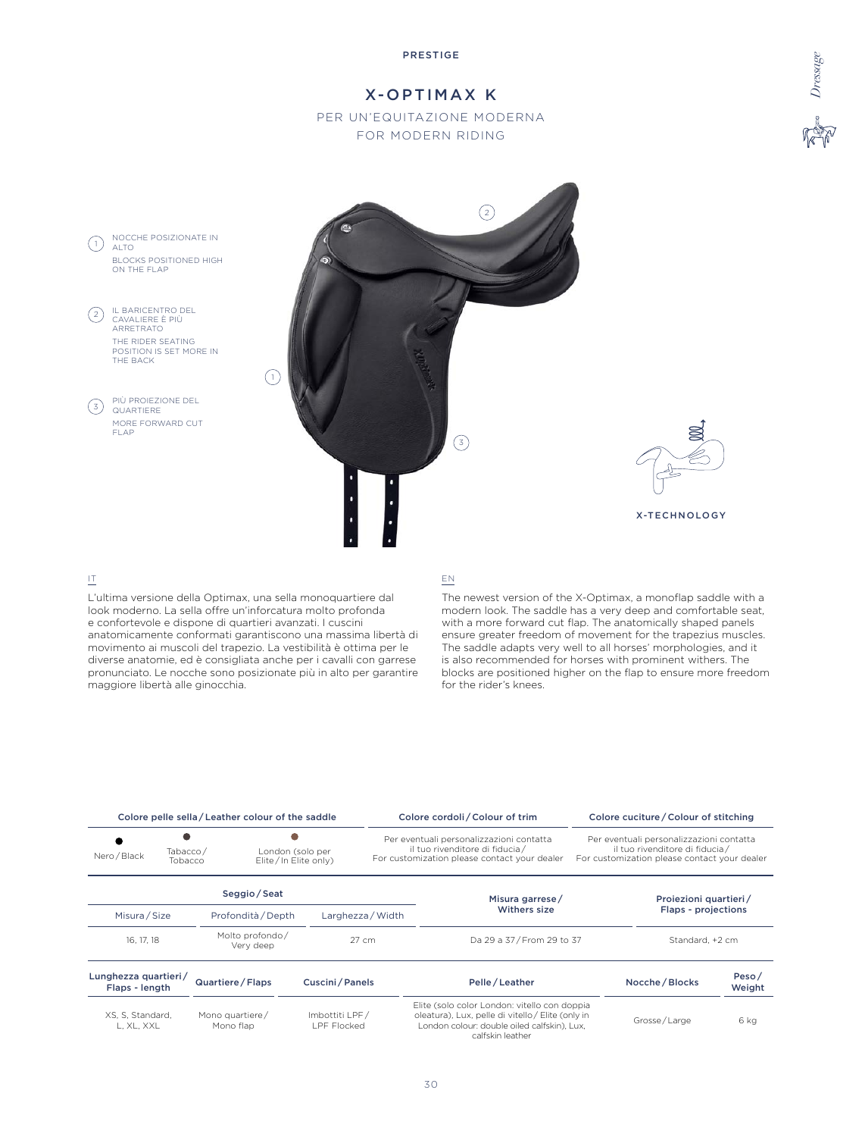

# X-OPTIMAX K

PER UN'EQUITAZIONE MODERNA FOR MODERN RIDING



# IT

L'ultima versione della Optimax, una sella monoquartiere dal look moderno. La sella offre un'inforcatura molto profonda e confortevole e dispone di quartieri avanzati. I cuscini anatomicamente conformati garantiscono una massima libertà di movimento ai muscoli del trapezio. La vestibilità è ottima per le diverse anatomie, ed è consigliata anche per i cavalli con garrese pronunciato. Le nocche sono posizionate più in alto per garantire maggiore libertà alle ginocchia.

#### EN

The newest version of the X-Optimax, a monoflap saddle with a modern look. The saddle has a very deep and comfortable seat, with a more forward cut flap. The anatomically shaped panels ensure greater freedom of movement for the trapezius muscles. The saddle adapts very well to all horses' morphologies, and it is also recommended for horses with prominent withers. The blocks are positioned higher on the flap to ensure more freedom for the rider's knees.

|                                        |                                                                 | Colore pelle sella / Leather colour of the saddle |                                       |                   | Colore cordoli / Colour of trim                                                                                                                                      |  | Colore cuciture / Colour of stitching                                                                                      |                 |
|----------------------------------------|-----------------------------------------------------------------|---------------------------------------------------|---------------------------------------|-------------------|----------------------------------------------------------------------------------------------------------------------------------------------------------------------|--|----------------------------------------------------------------------------------------------------------------------------|-----------------|
| Nero / Black                           | London (solo per<br>Tabacco/<br>Elite/In Elite only)<br>Tobacco |                                                   |                                       |                   | Per eventuali personalizzazioni contatta<br>il tuo rivenditore di fiducia /<br>For customization please contact your dealer                                          |  | Per eventuali personalizzazioni contatta<br>il tuo rivenditore di fiducia/<br>For customization please contact your dealer |                 |
|                                        |                                                                 | Seggio/Seat                                       |                                       |                   | Misura garrese/                                                                                                                                                      |  | Proiezioni quartieri/                                                                                                      |                 |
|                                        | Misura/Size<br>Profondità / Depth                               |                                                   |                                       | Larghezza / Width | Withers size                                                                                                                                                         |  | Flaps - projections                                                                                                        |                 |
| 16, 17, 18                             |                                                                 | Molto profondo/<br>Very deep                      |                                       | $27 \text{ cm}$   | Da 29 a 37/From 29 to 37                                                                                                                                             |  | Standard, +2 cm                                                                                                            |                 |
| Lunghezza quartieri/<br>Flaps - length |                                                                 | Quartiere / Flaps                                 | Cuscini / Panels                      |                   | Pelle/Leather                                                                                                                                                        |  | Nocche / Blocks                                                                                                            | Peso/<br>Weight |
| XS, S, Standard,<br>L. XL. XXL         |                                                                 | Mono quartiere/<br>Mono flap                      | Imbottiti LPF/<br><b>I PF Flocked</b> |                   | Elite (solo color London: vitello con doppia<br>oleatura), Lux, pelle di vitello / Elite (only in<br>London colour: double oiled calfskin). Lux.<br>calfskin leather |  | Grosse/Large                                                                                                               | 6 kg            |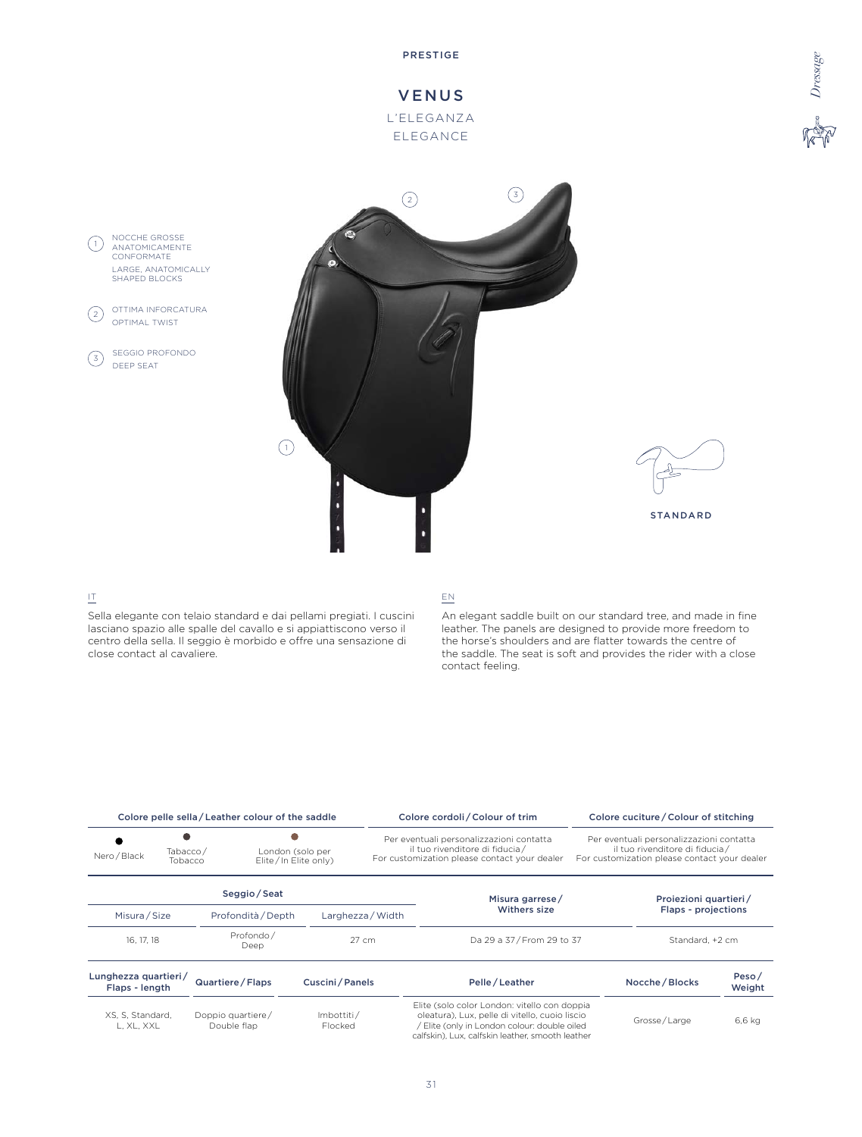







# IT

Sella elegante con telaio standard e dai pellami pregiati. I cuscini lasciano spazio alle spalle del cavallo e si appiattiscono verso il centro della sella. Il seggio è morbido e offre una sensazione di close contact al cavaliere.

### EN

An elegant saddle built on our standard tree, and made in fine leather. The panels are designed to provide more freedom to the horse's shoulders and are flatter towards the centre of the saddle. The seat is soft and provides the rider with a close contact feeling.

|                                                                                 |  | Colore pelle sella / Leather colour of the saddle |                       |                                                                                                                                                                                                                                                           | Colore cordoli / Colour of trim                                                                                                                                                                    |              | Colore cuciture / Colour of stitching |                 |
|---------------------------------------------------------------------------------|--|---------------------------------------------------|-----------------------|-----------------------------------------------------------------------------------------------------------------------------------------------------------------------------------------------------------------------------------------------------------|----------------------------------------------------------------------------------------------------------------------------------------------------------------------------------------------------|--------------|---------------------------------------|-----------------|
| Tabacco/<br>London (solo per<br>Nero / Black<br>Elite/In Elite only)<br>Tobacco |  |                                                   |                       | Per eventuali personalizzazioni contatta<br>Per eventuali personalizzazioni contatta<br>il tuo rivenditore di fiducia /<br>il tuo rivenditore di fiducia/<br>For customization please contact your dealer<br>For customization please contact your dealer |                                                                                                                                                                                                    |              |                                       |                 |
|                                                                                 |  | Seggio/Seat                                       |                       |                                                                                                                                                                                                                                                           | Misura garrese/                                                                                                                                                                                    |              | Proiezioni quartieri/                 |                 |
| Misura/Size<br>Profondità / Depth                                               |  |                                                   | Larghezza / Width     | <b>Withers size</b>                                                                                                                                                                                                                                       | Flaps - projections                                                                                                                                                                                |              |                                       |                 |
| 16, 17, 18                                                                      |  | Profondo/<br>Deep                                 |                       | $27 \text{ cm}$                                                                                                                                                                                                                                           | Da 29 a 37/From 29 to 37                                                                                                                                                                           |              | Standard, +2 cm                       |                 |
| Lunghezza quartieri/<br>Flaps - length                                          |  | Quartiere / Flaps                                 | Cuscini / Panels      |                                                                                                                                                                                                                                                           | Pelle/Leather                                                                                                                                                                                      |              | Nocche / Blocks                       | Peso/<br>Weight |
| XS, S, Standard,<br>L. XL. XXL                                                  |  | Doppio quartiere/<br>Double flap                  | Imbottiti/<br>Flocked |                                                                                                                                                                                                                                                           | Elite (solo color London: vitello con doppia<br>oleatura), Lux, pelle di vitello, cuoio liscio<br>/ Elite (only in London colour: double oiled<br>calfskin), Lux, calfskin leather, smooth leather | Grosse/Large |                                       | 6,6 kg          |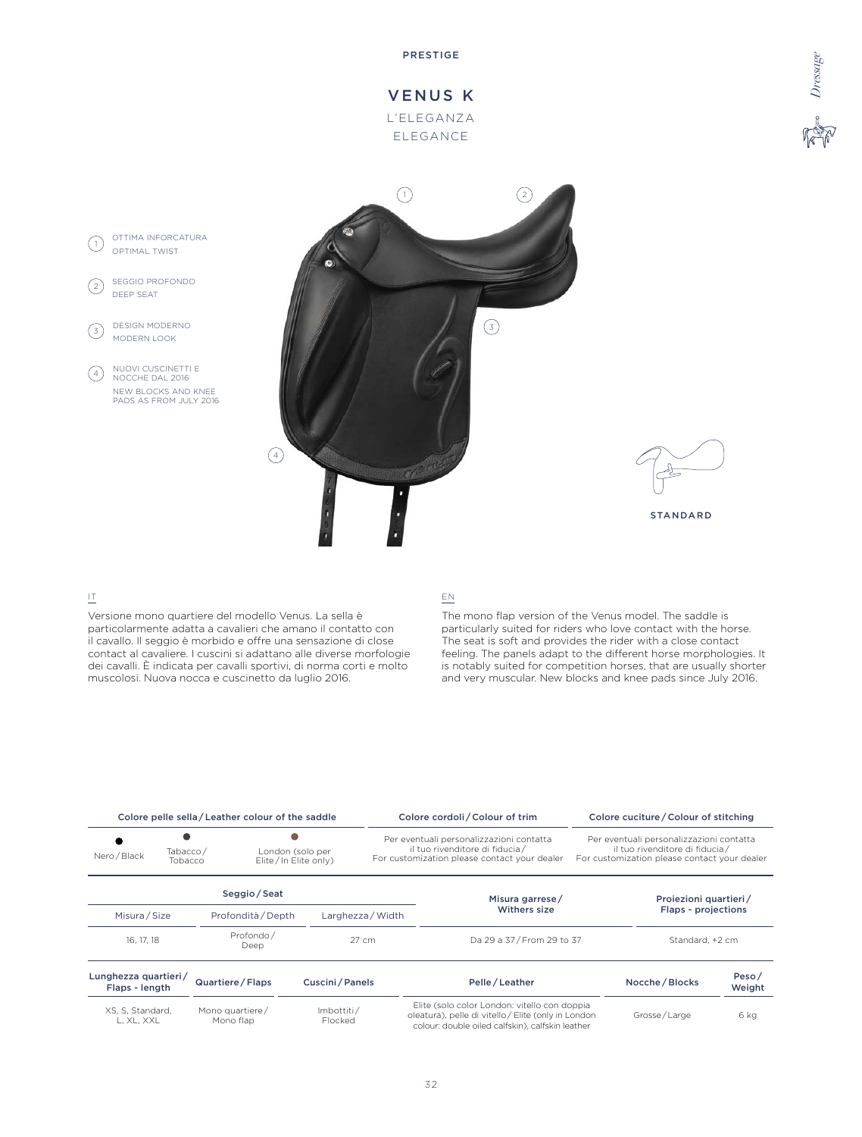

VENUS K L'ELEGANZA ELEGANCE





### IT

Versione mono quartiere del modello Venus. La sella è particolarmente adatta a cavalieri che amano il contatto con il cavallo. Il seggio è morbido e offre una sensazione di close contact al cavaliere. I cuscini si adattano alle diverse morfologie dei cavalli. È indicata per cavalli sportivi, di norma corti e molto muscolosi. Nuova nocca e cuscinetto da luglio 2016.

### EN

The mono flap version of the Venus model. The saddle is particularly suited for riders who love contact with the horse. The seat is soft and provides the rider with a close contact feeling. The panels adapt to the different horse morphologies. It is notably suited for competition horses, that are usually shorter and very muscular. New blocks and knee pads since July 2016.

|                                                                                 |                                     | Colore pelle sella / Leather colour of the saddle |                                                                                                                             |                                                                                                                            | Colore cordoli / Colour of trim                                                                                                                         | Colore cuciture / Colour of stitching |                 |
|---------------------------------------------------------------------------------|-------------------------------------|---------------------------------------------------|-----------------------------------------------------------------------------------------------------------------------------|----------------------------------------------------------------------------------------------------------------------------|---------------------------------------------------------------------------------------------------------------------------------------------------------|---------------------------------------|-----------------|
| London (solo per<br>Tabacco/<br>Nero / Black<br>Elite/In Elite only)<br>Tobacco |                                     |                                                   | Per eventuali personalizzazioni contatta<br>il tuo rivenditore di fiducia /<br>For customization please contact your dealer | Per eventuali personalizzazioni contatta<br>il tuo rivenditore di fiducia/<br>For customization please contact your dealer |                                                                                                                                                         |                                       |                 |
|                                                                                 |                                     | Seggio/Seat                                       |                                                                                                                             |                                                                                                                            | Misura garrese/                                                                                                                                         | Projezioni quartieri/                 |                 |
|                                                                                 | Misura / Size<br>Profondità / Depth |                                                   |                                                                                                                             | Larghezza / Width                                                                                                          | Withers size                                                                                                                                            | Flaps - projections                   |                 |
| 16, 17, 18                                                                      |                                     | Profondo/<br>Deep                                 |                                                                                                                             | 27 cm                                                                                                                      | Da 29 a 37/From 29 to 37                                                                                                                                | Standard, +2 cm                       |                 |
| Lunghezza quartieri/<br>Flaps - length                                          |                                     | Quartiere / Flaps                                 | Cuscini / Panels                                                                                                            |                                                                                                                            | Pelle/Leather                                                                                                                                           | Nocche / Blocks                       | Peso/<br>Weight |
| XS, S, Standard,<br>L. XL. XXL                                                  |                                     | Mono quartiere/<br>Mono flap                      | Imbottiti/<br>Flocked                                                                                                       |                                                                                                                            | Elite (solo color London: vitello con doppia<br>oleatura), pelle di vitello / Elite (only in London<br>colour: double oiled calfskin), calfskin leather | Grosse/Large                          | 6 kg            |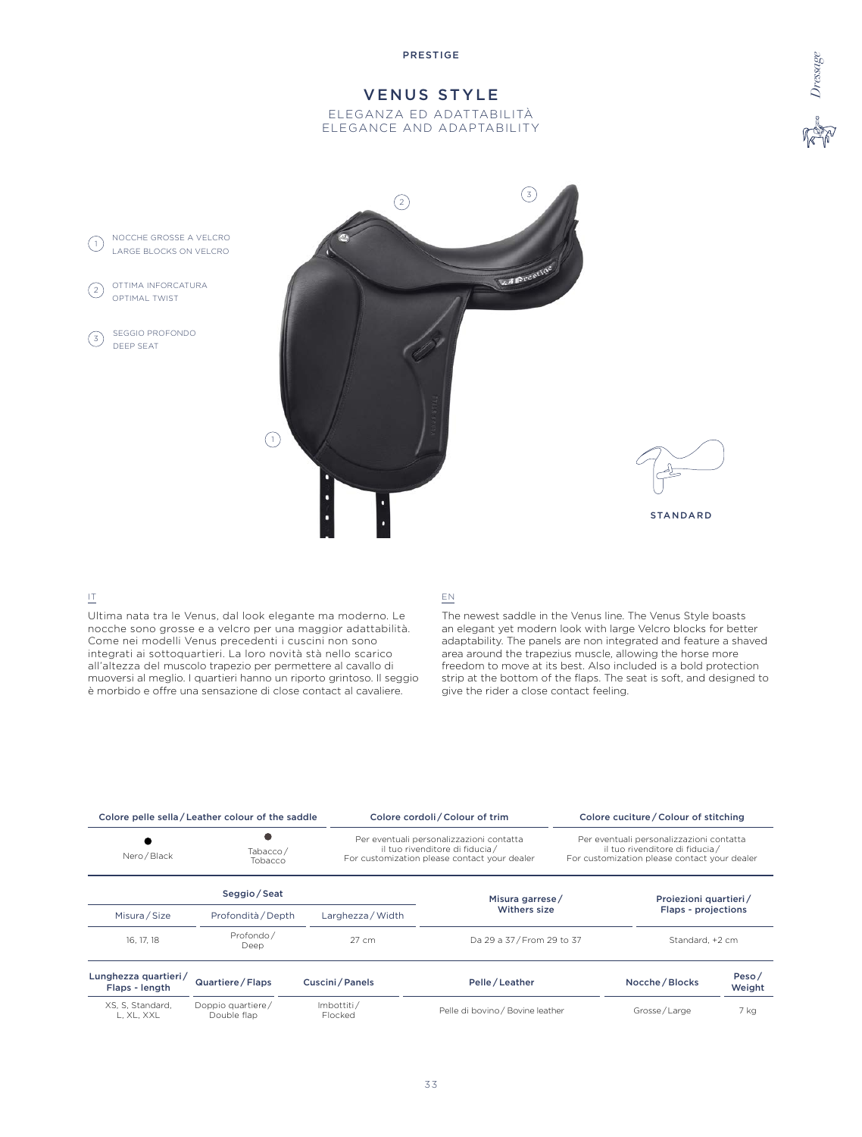# VENUS STYLE

ELEGANZA ED ADATTABILITÀ ELEGANCE AND ADAPTABILITY





### IT

Ultima nata tra le Venus, dal look elegante ma moderno. Le nocche sono grosse e a velcro per una maggior adattabilità. Come nei modelli Venus precedenti i cuscini non sono integrati ai sottoquartieri. La loro novità stà nello scarico all'altezza del muscolo trapezio per permettere al cavallo di muoversi al meglio. I quartieri hanno un riporto grintoso. Il seggio è morbido e offre una sensazione di close contact al cavaliere.

### EN

The newest saddle in the Venus line. The Venus Style boasts an elegant yet modern look with large Velcro blocks for better adaptability. The panels are non integrated and feature a shaved area around the trapezius muscle, allowing the horse more freedom to move at its best. Also included is a bold protection strip at the bottom of the flaps. The seat is soft, and designed to give the rider a close contact feeling.

|                                                                    | Colore pelle sella / Leather colour of the saddle |                       | Colore cordoli / Colour of trim                                                                                             |  | Colore cuciture / Colour of stitching                                                                                       |                     |  |
|--------------------------------------------------------------------|---------------------------------------------------|-----------------------|-----------------------------------------------------------------------------------------------------------------------------|--|-----------------------------------------------------------------------------------------------------------------------------|---------------------|--|
| Nero / Black                                                       | Tabacco/<br>Tobacco                               |                       | Per eventuali personalizzazioni contatta<br>il tuo rivenditore di fiducia /<br>For customization please contact your dealer |  | Per eventuali personalizzazioni contatta<br>il tuo rivenditore di fiducia /<br>For customization please contact your dealer |                     |  |
|                                                                    | Seggio/Seat                                       |                       | Misura garrese/                                                                                                             |  | Proiezioni quartieri/                                                                                                       |                     |  |
| Misura / Size                                                      | Profondità / Depth                                |                       | Withers size                                                                                                                |  |                                                                                                                             | Flaps - projections |  |
| 16, 17, 18                                                         | Profondo/<br>Deep                                 | 27 cm                 | Da 29 a 37 / From 29 to 37                                                                                                  |  | Standard, +2 cm                                                                                                             |                     |  |
| Lunghezza quartieri/<br>Flaps - length                             | Quartiere / Flaps                                 | Cuscini / Panels      | Pelle/Leather                                                                                                               |  | Nocche / Blocks                                                                                                             | Peso/<br>Weight     |  |
| Doppio quartiere/<br>XS, S, Standard,<br>Double flap<br>L. XL. XXL |                                                   | Imbottiti/<br>Flocked | Pelle di bovino / Bovine leather                                                                                            |  | Grosse/Large                                                                                                                |                     |  |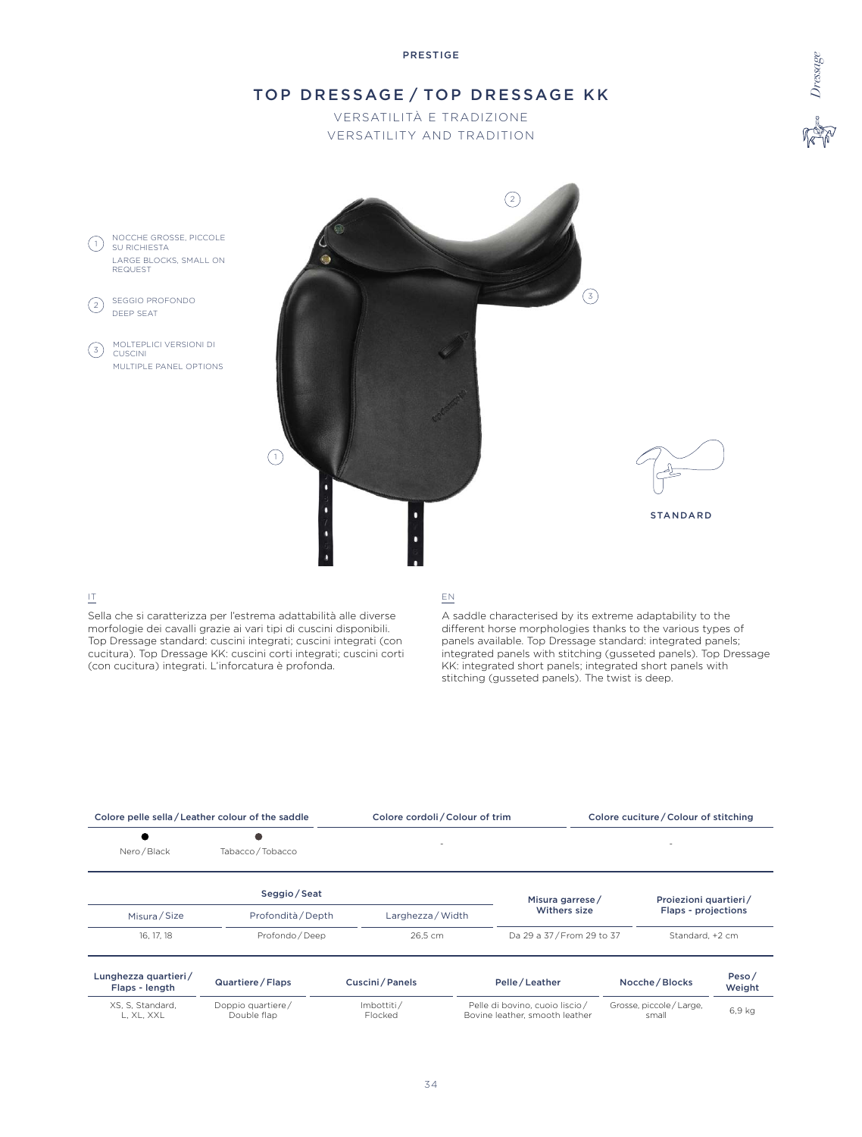# TOP DRESSAGE / TOP DRESSAGE KK

VERSATILITÀ E TRADIZIONE VERSATILITY AND TRADITION



# IT

Sella che si caratterizza per l'estrema adattabilità alle diverse morfologie dei cavalli grazie ai vari tipi di cuscini disponibili. Top Dressage standard: cuscini integrati; cuscini integrati (con cucitura). Top Dressage KK: cuscini corti integrati; cuscini corti (con cucitura) integrati. L'inforcatura è profonda.

# EN

A saddle characterised by its extreme adaptability to the different horse morphologies thanks to the various types of panels available. Top Dressage standard: integrated panels; integrated panels with stitching (gusseted panels). Top Dressage KK: integrated short panels; integrated short panels with stitching (gusseted panels). The twist is deep.

| Colore pelle sella/Leather colour of the saddle |                                  | Colore cordoli / Colour of trim |                                                                  |                 |                                   | Colore cuciture / Colour of stitching |                 |
|-------------------------------------------------|----------------------------------|---------------------------------|------------------------------------------------------------------|-----------------|-----------------------------------|---------------------------------------|-----------------|
| Nero / Black                                    | Tabacco / Tobacco                |                                 |                                                                  |                 |                                   |                                       |                 |
|                                                 | Seggio / Seat                    |                                 |                                                                  | Misura garrese/ |                                   | Proiezioni quartieri/                 |                 |
| Misura / Size                                   | Profondità / Depth               | Larghezza / Width               |                                                                  | Withers size    |                                   | <b>Flaps - projections</b>            |                 |
| 16, 17, 18                                      | Profondo / Deep                  |                                 | 26.5 cm                                                          |                 | Da 29 a 37/From 29 to 37          | Standard, +2 cm                       |                 |
| Lunghezza quartieri/<br>Flaps - length          | Quartiere / Flaps                | Cuscini/Panels                  |                                                                  | Pelle / Leather |                                   | Nocche / Blocks                       | Peso/<br>Weight |
| XS, S, Standard,<br>L, XL, XXL                  | Doppio quartiere/<br>Double flap | Imbottiti/<br>Flocked           | Pelle di bovino, cuoio liscio/<br>Bovine leather, smooth leather |                 | Grosse, piccole / Large,<br>small |                                       | 6.9 kg          |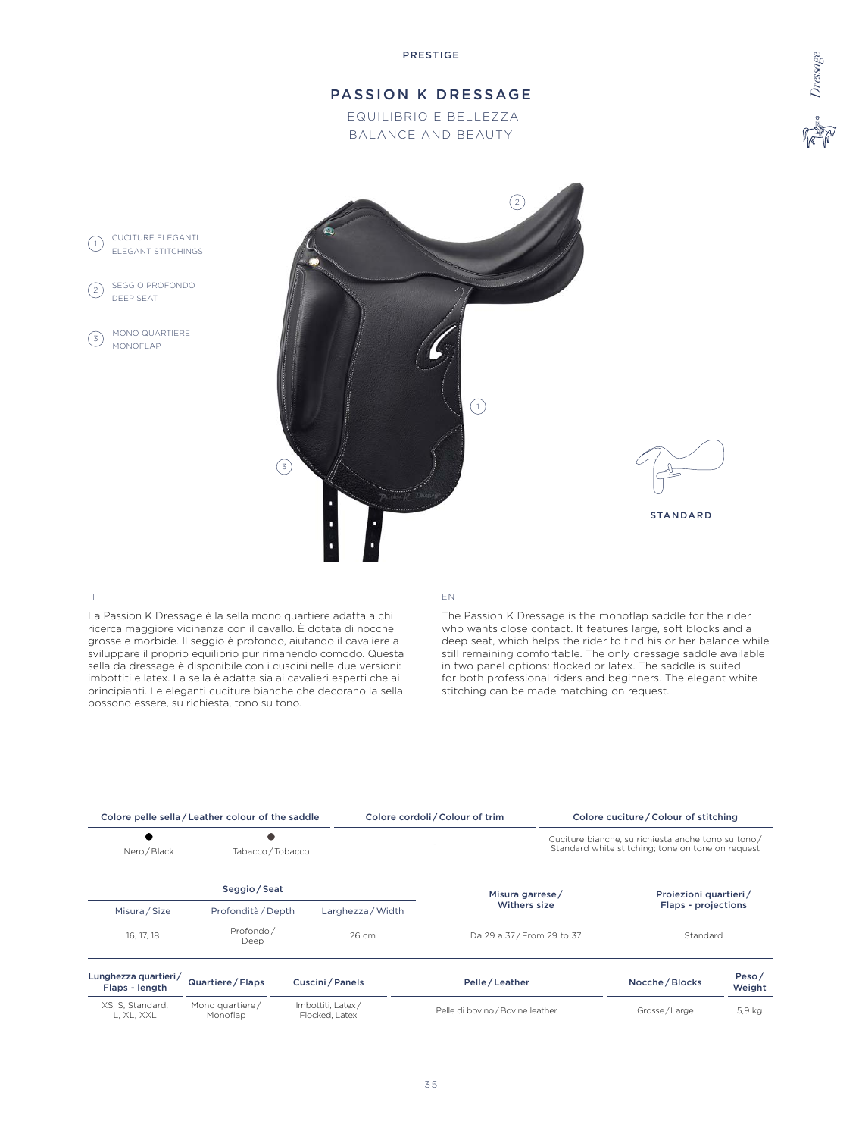# PASSION K DRESSAGE

 EQUILIBRIO E BELLEZZA BALANCE AND BEAUTY





# IT

CUCITURE ELEGANTI (1) COCHORE ELEGANT

MONO QUARTIERE

SEGGIO PROFONDO DEEP SEAT

(3) MONO QUAR

 $\left( 2\right)$ 

La Passion K Dressage è la sella mono quartiere adatta a chi ricerca maggiore vicinanza con il cavallo. È dotata di nocche grosse e morbide. Il seggio è profondo, aiutando il cavaliere a sviluppare il proprio equilibrio pur rimanendo comodo. Questa sella da dressage è disponibile con i cuscini nelle due versioni: imbottiti e latex. La sella è adatta sia ai cavalieri esperti che ai principianti. Le eleganti cuciture bianche che decorano la sella possono essere, su richiesta, tono su tono.

### EN

The Passion K Dressage is the monoflap saddle for the rider who wants close contact. It features large, soft blocks and a deep seat, which helps the rider to find his or her balance while still remaining comfortable. The only dressage saddle available in two panel options: flocked or latex. The saddle is suited for both professional riders and beginners. The elegant white stitching can be made matching on request.

| Colore pelle sella / Leather colour of the saddle |                             |                                     |                   | Colore cordoli / Colour of trim |                                  | Colore cuciture / Colour of stitching                                                                   |                     |  |
|---------------------------------------------------|-----------------------------|-------------------------------------|-------------------|---------------------------------|----------------------------------|---------------------------------------------------------------------------------------------------------|---------------------|--|
| Nero / Black                                      | Tabacco / Tobacco           |                                     |                   |                                 |                                  | Cuciture bianche, su richiesta anche tono su tono/<br>Standard white stitching; tone on tone on request |                     |  |
|                                                   | Seggio / Seat               |                                     |                   | Misura garrese/                 |                                  | Proiezioni quartieri/                                                                                   |                     |  |
| Misura / Size                                     | Profondità / Depth          |                                     | Larghezza / Width |                                 | Withers size                     |                                                                                                         | Flaps - projections |  |
| 16, 17, 18                                        | Profondo/<br>Deep           |                                     | $26 \text{ cm}$   |                                 | Da 29 a 37/From 29 to 37         |                                                                                                         | Standard            |  |
| Lunghezza quartieri/<br>Flaps - length            | Quartiere / Flaps           |                                     | Cuscini/Panels    | Pelle/Leather                   |                                  | Nocche / Blocks                                                                                         | Peso/<br>Weight     |  |
| XS, S, Standard,<br>L, XL, XXL                    | Mono quartiere/<br>Monoflap | Imbottiti. Latex/<br>Flocked, Latex |                   |                                 | Pelle di bovino / Bovine leather |                                                                                                         | 5,9 kg              |  |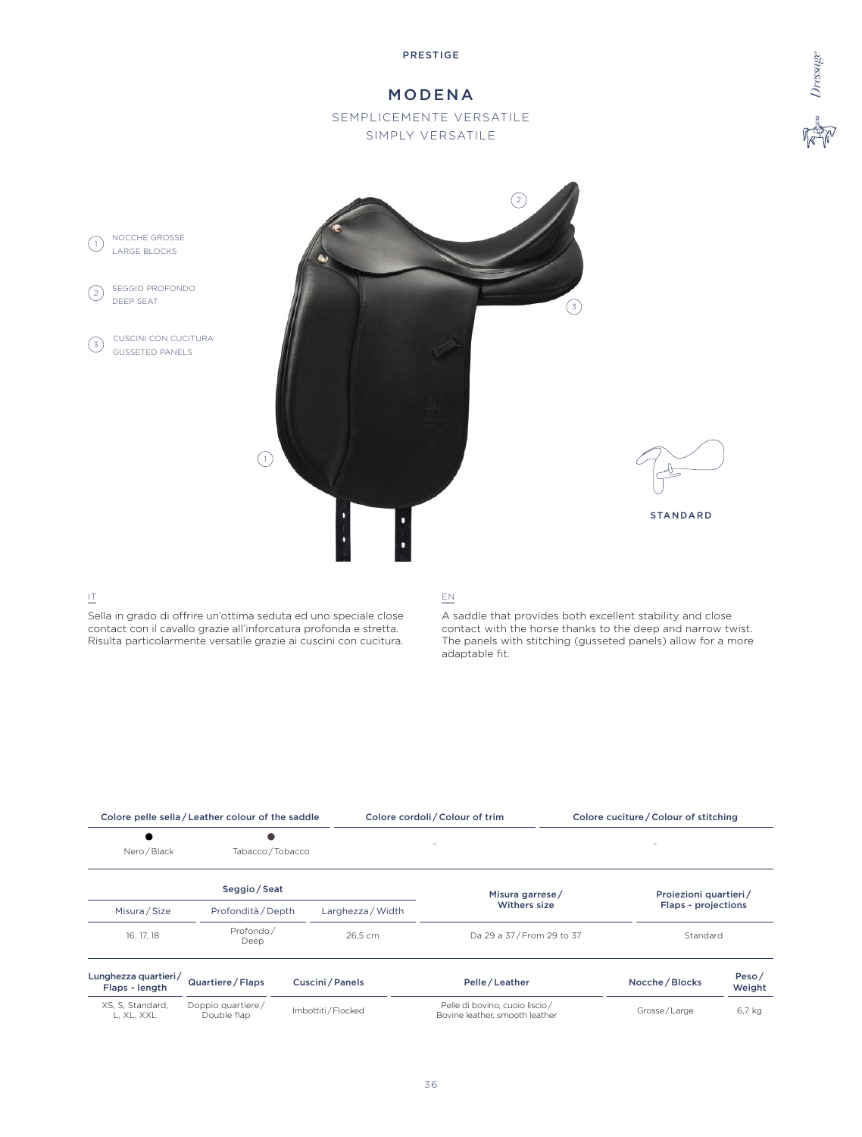# MODENA

SEMPLICEMENTE VERSATILE SIMPLY VERSATILE





# IT

Sella in grado di offrire un'ottima seduta ed uno speciale close contact con il cavallo grazie all'inforcatura profonda e stretta. Risulta particolarmente versatile grazie ai cuscini con cucitura.

# EN

A saddle that provides both excellent stability and close contact with the horse thanks to the deep and narrow twist. The panels with stitching (gusseted panels) allow for a more adaptable fit.

| Colore pelle sella / Leather colour of the saddle |                                     |                   |                   | Colore cordoli / Colour of trim                                  |  | Colore cuciture / Colour of stitching |                 |  |
|---------------------------------------------------|-------------------------------------|-------------------|-------------------|------------------------------------------------------------------|--|---------------------------------------|-----------------|--|
| $\bullet$<br>Nero / Black                         | Tabacco / Tobacco                   |                   |                   |                                                                  |  |                                       |                 |  |
|                                                   | Seggio / Seat                       |                   |                   | Misura garrese/                                                  |  | Proiezioni quartieri/                 |                 |  |
| Misura / Size                                     | Profondità / Depth                  |                   | Larghezza / Width | Withers size                                                     |  | Flaps - projections                   |                 |  |
| 16, 17, 18                                        | Profondo/<br>Deep                   |                   | 26.5 cm           | Da 29 a 37 / From 29 to 37                                       |  | Standard                              |                 |  |
| Lunghezza quartieri/<br>Flaps - length            | Quartiere / Flaps<br>Cuscini/Panels |                   | Pelle / Leather   |                                                                  |  | Nocche / Blocks                       | Peso/<br>Weight |  |
| XS, S, Standard,<br>L, XL, XXL                    | Doppio quartiere/<br>Double flap    | Imbottiti/Flocked |                   | Pelle di bovino, cuoio liscio/<br>Bovine leather, smooth leather |  | Grosse/Large                          |                 |  |